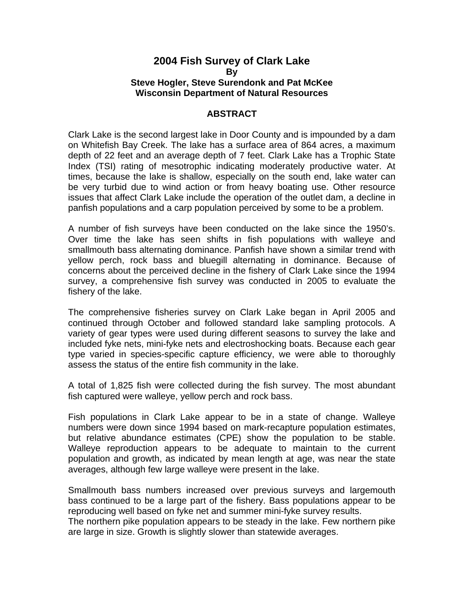#### **2004 Fish Survey of Clark Lake By Steve Hogler, Steve Surendonk and Pat McKee Wisconsin Department of Natural Resources**

#### **ABSTRACT**

Clark Lake is the second largest lake in Door County and is impounded by a dam on Whitefish Bay Creek. The lake has a surface area of 864 acres, a maximum depth of 22 feet and an average depth of 7 feet. Clark Lake has a Trophic State Index (TSI) rating of mesotrophic indicating moderately productive water. At times, because the lake is shallow, especially on the south end, lake water can be very turbid due to wind action or from heavy boating use. Other resource issues that affect Clark Lake include the operation of the outlet dam, a decline in panfish populations and a carp population perceived by some to be a problem.

A number of fish surveys have been conducted on the lake since the 1950's. Over time the lake has seen shifts in fish populations with walleye and smallmouth bass alternating dominance. Panfish have shown a similar trend with yellow perch, rock bass and bluegill alternating in dominance. Because of concerns about the perceived decline in the fishery of Clark Lake since the 1994 survey, a comprehensive fish survey was conducted in 2005 to evaluate the fishery of the lake.

The comprehensive fisheries survey on Clark Lake began in April 2005 and continued through October and followed standard lake sampling protocols. A variety of gear types were used during different seasons to survey the lake and included fyke nets, mini-fyke nets and electroshocking boats. Because each gear type varied in species-specific capture efficiency, we were able to thoroughly assess the status of the entire fish community in the lake.

A total of 1,825 fish were collected during the fish survey. The most abundant fish captured were walleye, yellow perch and rock bass.

Fish populations in Clark Lake appear to be in a state of change. Walleye numbers were down since 1994 based on mark-recapture population estimates, but relative abundance estimates (CPE) show the population to be stable. Walleye reproduction appears to be adequate to maintain to the current population and growth, as indicated by mean length at age, was near the state averages, although few large walleye were present in the lake.

Smallmouth bass numbers increased over previous surveys and largemouth bass continued to be a large part of the fishery. Bass populations appear to be reproducing well based on fyke net and summer mini-fyke survey results.

The northern pike population appears to be steady in the lake. Few northern pike are large in size. Growth is slightly slower than statewide averages.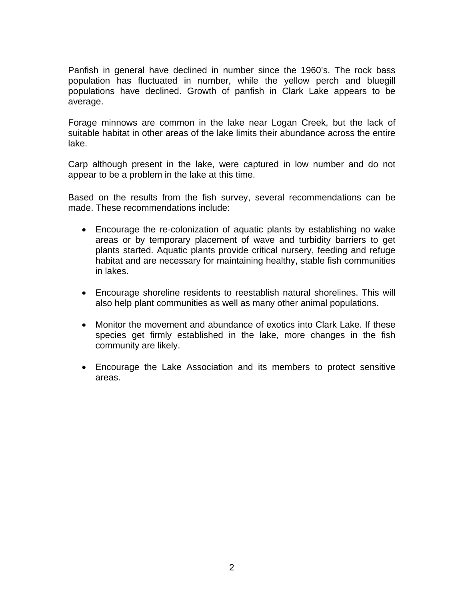Panfish in general have declined in number since the 1960's. The rock bass population has fluctuated in number, while the yellow perch and bluegill populations have declined. Growth of panfish in Clark Lake appears to be average.

Forage minnows are common in the lake near Logan Creek, but the lack of suitable habitat in other areas of the lake limits their abundance across the entire lake.

Carp although present in the lake, were captured in low number and do not appear to be a problem in the lake at this time.

Based on the results from the fish survey, several recommendations can be made. These recommendations include:

- Encourage the re-colonization of aquatic plants by establishing no wake areas or by temporary placement of wave and turbidity barriers to get plants started. Aquatic plants provide critical nursery, feeding and refuge habitat and are necessary for maintaining healthy, stable fish communities in lakes.
- Encourage shoreline residents to reestablish natural shorelines. This will also help plant communities as well as many other animal populations.
- Monitor the movement and abundance of exotics into Clark Lake. If these species get firmly established in the lake, more changes in the fish community are likely.
- Encourage the Lake Association and its members to protect sensitive areas.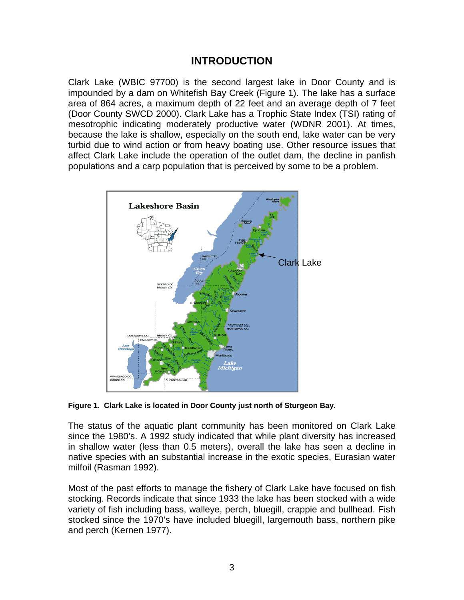## **INTRODUCTION**

Clark Lake (WBIC 97700) is the second largest lake in Door County and is impounded by a dam on Whitefish Bay Creek (Figure 1). The lake has a surface area of 864 acres, a maximum depth of 22 feet and an average depth of 7 feet (Door County SWCD 2000). Clark Lake has a Trophic State Index (TSI) rating of mesotrophic indicating moderately productive water (WDNR 2001). At times, because the lake is shallow, especially on the south end, lake water can be very turbid due to wind action or from heavy boating use. Other resource issues that affect Clark Lake include the operation of the outlet dam, the decline in panfish populations and a carp population that is perceived by some to be a problem.



**Figure 1. Clark Lake is located in Door County just north of Sturgeon Bay.** 

The status of the aquatic plant community has been monitored on Clark Lake since the 1980's. A 1992 study indicated that while plant diversity has increased in shallow water (less than 0.5 meters), overall the lake has seen a decline in native species with an substantial increase in the exotic species, Eurasian water milfoil (Rasman 1992).

Most of the past efforts to manage the fishery of Clark Lake have focused on fish stocking. Records indicate that since 1933 the lake has been stocked with a wide variety of fish including bass, walleye, perch, bluegill, crappie and bullhead. Fish stocked since the 1970's have included bluegill, largemouth bass, northern pike and perch (Kernen 1977).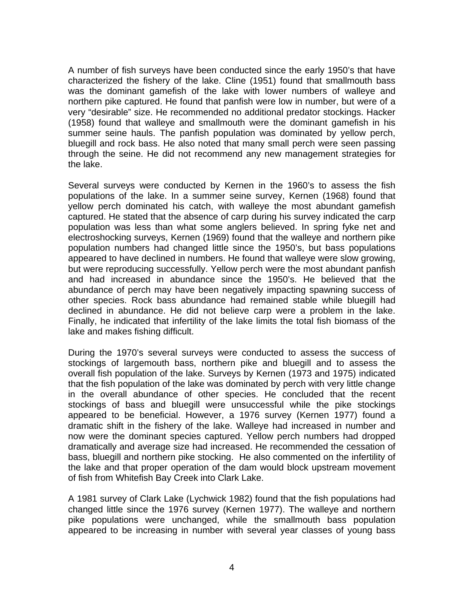A number of fish surveys have been conducted since the early 1950's that have characterized the fishery of the lake. Cline (1951) found that smallmouth bass was the dominant gamefish of the lake with lower numbers of walleye and northern pike captured. He found that panfish were low in number, but were of a very "desirable" size. He recommended no additional predator stockings. Hacker (1958) found that walleye and smallmouth were the dominant gamefish in his summer seine hauls. The panfish population was dominated by yellow perch, bluegill and rock bass. He also noted that many small perch were seen passing through the seine. He did not recommend any new management strategies for the lake.

Several surveys were conducted by Kernen in the 1960's to assess the fish populations of the lake. In a summer seine survey, Kernen (1968) found that yellow perch dominated his catch, with walleye the most abundant gamefish captured. He stated that the absence of carp during his survey indicated the carp population was less than what some anglers believed. In spring fyke net and electroshocking surveys, Kernen (1969) found that the walleye and northern pike population numbers had changed little since the 1950's, but bass populations appeared to have declined in numbers. He found that walleye were slow growing, but were reproducing successfully. Yellow perch were the most abundant panfish and had increased in abundance since the 1950's. He believed that the abundance of perch may have been negatively impacting spawning success of other species. Rock bass abundance had remained stable while bluegill had declined in abundance. He did not believe carp were a problem in the lake. Finally, he indicated that infertility of the lake limits the total fish biomass of the lake and makes fishing difficult.

During the 1970's several surveys were conducted to assess the success of stockings of largemouth bass, northern pike and bluegill and to assess the overall fish population of the lake. Surveys by Kernen (1973 and 1975) indicated that the fish population of the lake was dominated by perch with very little change in the overall abundance of other species. He concluded that the recent stockings of bass and bluegill were unsuccessful while the pike stockings appeared to be beneficial. However, a 1976 survey (Kernen 1977) found a dramatic shift in the fishery of the lake. Walleye had increased in number and now were the dominant species captured. Yellow perch numbers had dropped dramatically and average size had increased. He recommended the cessation of bass, bluegill and northern pike stocking. He also commented on the infertility of the lake and that proper operation of the dam would block upstream movement of fish from Whitefish Bay Creek into Clark Lake.

A 1981 survey of Clark Lake (Lychwick 1982) found that the fish populations had changed little since the 1976 survey (Kernen 1977). The walleye and northern pike populations were unchanged, while the smallmouth bass population appeared to be increasing in number with several year classes of young bass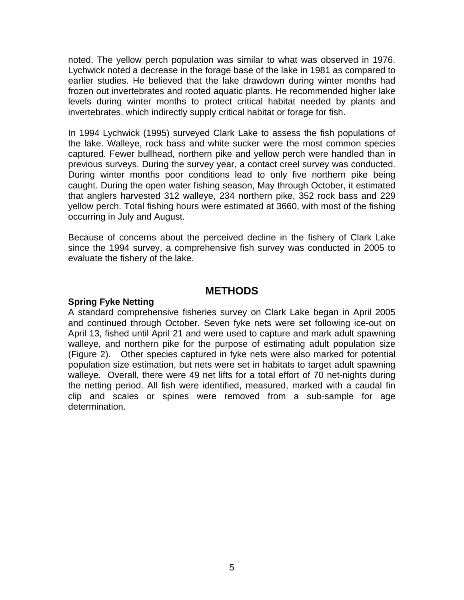noted. The yellow perch population was similar to what was observed in 1976. Lychwick noted a decrease in the forage base of the lake in 1981 as compared to earlier studies. He believed that the lake drawdown during winter months had frozen out invertebrates and rooted aquatic plants. He recommended higher lake levels during winter months to protect critical habitat needed by plants and invertebrates, which indirectly supply critical habitat or forage for fish.

In 1994 Lychwick (1995) surveyed Clark Lake to assess the fish populations of the lake. Walleye, rock bass and white sucker were the most common species captured. Fewer bullhead, northern pike and yellow perch were handled than in previous surveys. During the survey year, a contact creel survey was conducted. During winter months poor conditions lead to only five northern pike being caught. During the open water fishing season, May through October, it estimated that anglers harvested 312 walleye, 234 northern pike, 352 rock bass and 229 yellow perch. Total fishing hours were estimated at 3660, with most of the fishing occurring in July and August.

Because of concerns about the perceived decline in the fishery of Clark Lake since the 1994 survey, a comprehensive fish survey was conducted in 2005 to evaluate the fishery of the lake.

## **METHODS**

### **Spring Fyke Netting**

A standard comprehensive fisheries survey on Clark Lake began in April 2005 and continued through October. Seven fyke nets were set following ice-out on April 13, fished until April 21 and were used to capture and mark adult spawning walleye, and northern pike for the purpose of estimating adult population size (Figure 2). Other species captured in fyke nets were also marked for potential population size estimation, but nets were set in habitats to target adult spawning walleye. Overall, there were 49 net lifts for a total effort of 70 net-nights during the netting period. All fish were identified, measured, marked with a caudal fin clip and scales or spines were removed from a sub-sample for age determination.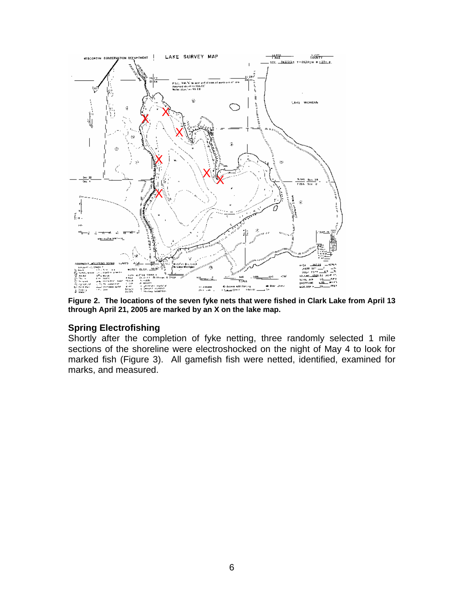

**Figure 2. The locations of the seven fyke nets that were fished in Clark Lake from April 13 through April 21, 2005 are marked by an X on the lake map.** 

### **Spring Electrofishing**

Shortly after the completion of fyke netting, three randomly selected 1 mile sections of the shoreline were electroshocked on the night of May 4 to look for marked fish (Figure 3). All gamefish fish were netted, identified, examined for marks, and measured.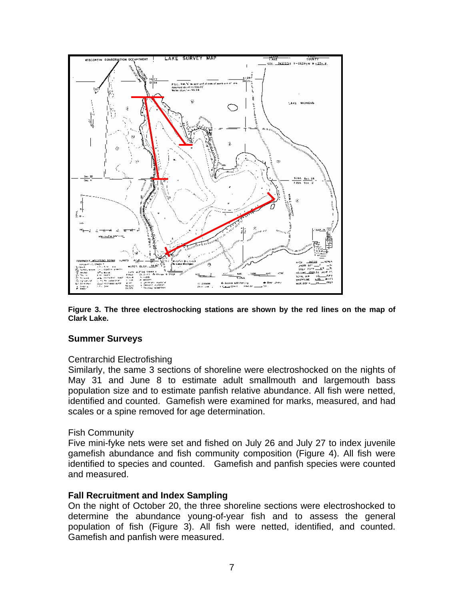

**Figure 3. The three electroshocking stations are shown by the red lines on the map of Clark Lake.** 

#### **Summer Surveys**

#### Centrarchid Electrofishing

Similarly, the same 3 sections of shoreline were electroshocked on the nights of May 31 and June 8 to estimate adult smallmouth and largemouth bass population size and to estimate panfish relative abundance. All fish were netted, identified and counted. Gamefish were examined for marks, measured, and had scales or a spine removed for age determination.

#### Fish Community

Five mini-fyke nets were set and fished on July 26 and July 27 to index juvenile gamefish abundance and fish community composition (Figure 4). All fish were identified to species and counted. Gamefish and panfish species were counted and measured.

### **Fall Recruitment and Index Sampling**

On the night of October 20, the three shoreline sections were electroshocked to determine the abundance young-of-year fish and to assess the general population of fish (Figure 3). All fish were netted, identified, and counted. Gamefish and panfish were measured.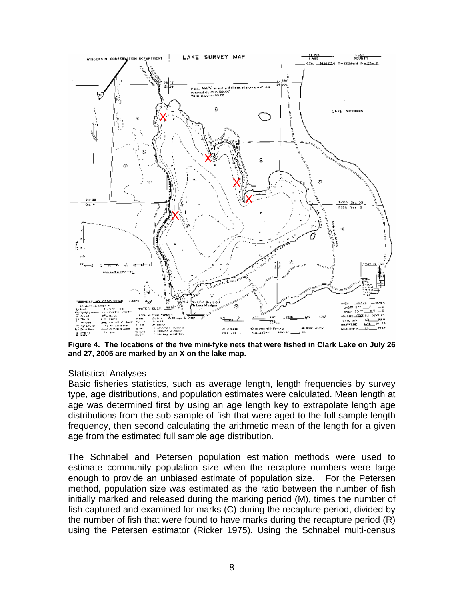

**Figure 4. The locations of the five mini-fyke nets that were fished in Clark Lake on July 26 and 27, 2005 are marked by an X on the lake map.** 

#### Statistical Analyses

Basic fisheries statistics, such as average length, length frequencies by survey type, age distributions, and population estimates were calculated. Mean length at age was determined first by using an age length key to extrapolate length age distributions from the sub-sample of fish that were aged to the full sample length frequency, then second calculating the arithmetic mean of the length for a given age from the estimated full sample age distribution.

The Schnabel and Petersen population estimation methods were used to estimate community population size when the recapture numbers were large enough to provide an unbiased estimate of population size. For the Petersen method, population size was estimated as the ratio between the number of fish initially marked and released during the marking period (M), times the number of fish captured and examined for marks (C) during the recapture period, divided by the number of fish that were found to have marks during the recapture period (R) using the Petersen estimator (Ricker 1975). Using the Schnabel multi-census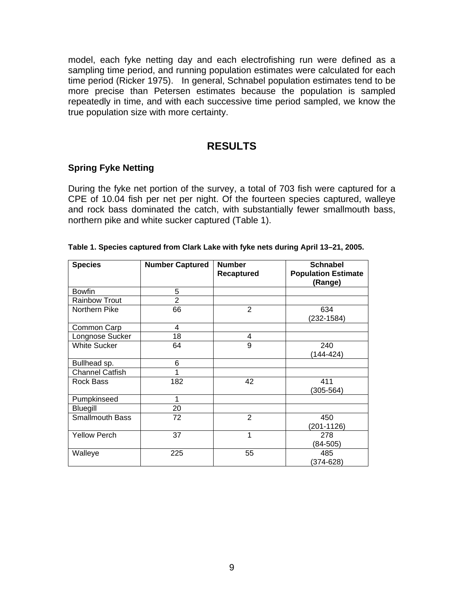model, each fyke netting day and each electrofishing run were defined as a sampling time period, and running population estimates were calculated for each time period (Ricker 1975). In general, Schnabel population estimates tend to be more precise than Petersen estimates because the population is sampled repeatedly in time, and with each successive time period sampled, we know the true population size with more certainty.

## **RESULTS**

### **Spring Fyke Netting**

During the fyke net portion of the survey, a total of 703 fish were captured for a CPE of 10.04 fish per net per night. Of the fourteen species captured, walleye and rock bass dominated the catch, with substantially fewer smallmouth bass, northern pike and white sucker captured (Table 1).

| <b>Species</b>         | <b>Number Captured</b> | <b>Number</b><br>Recaptured | <b>Schnabel</b><br><b>Population Estimate</b><br>(Range) |
|------------------------|------------------------|-----------------------------|----------------------------------------------------------|
| <b>Bowfin</b>          | 5                      |                             |                                                          |
| <b>Rainbow Trout</b>   | $\overline{2}$         |                             |                                                          |
| Northern Pike          | 66                     | $\overline{2}$              | 634<br>(232-1584)                                        |
| Common Carp            | 4                      |                             |                                                          |
| Longnose Sucker        | 18                     | 4                           |                                                          |
| <b>White Sucker</b>    | 64                     | 9                           | 240<br>(144-424)                                         |
| Bullhead sp.           | 6                      |                             |                                                          |
| <b>Channel Catfish</b> |                        |                             |                                                          |
| Rock Bass              | 182                    | 42                          | 411<br>$(305 - 564)$                                     |
| Pumpkinseed            | 1                      |                             |                                                          |
| Bluegill               | 20                     |                             |                                                          |
| <b>Smallmouth Bass</b> | 72                     | $\overline{2}$              | 450<br>(201-1126)                                        |
| <b>Yellow Perch</b>    | 37                     | 1                           | 278<br>(84-505)                                          |
| Walleye                | 225                    | 55                          | 485<br>$(374 - 628)$                                     |

#### **Table 1. Species captured from Clark Lake with fyke nets during April 13–21, 2005.**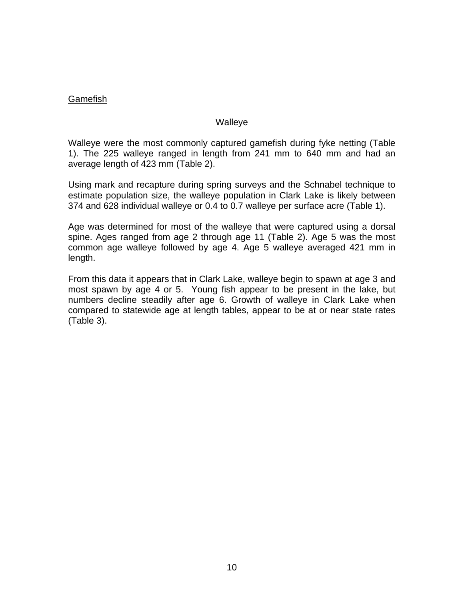### Gamefish

#### **Walleye**

Walleye were the most commonly captured gamefish during fyke netting (Table 1). The 225 walleye ranged in length from 241 mm to 640 mm and had an average length of 423 mm (Table 2).

Using mark and recapture during spring surveys and the Schnabel technique to estimate population size, the walleye population in Clark Lake is likely between 374 and 628 individual walleye or 0.4 to 0.7 walleye per surface acre (Table 1).

Age was determined for most of the walleye that were captured using a dorsal spine. Ages ranged from age 2 through age 11 (Table 2). Age 5 was the most common age walleye followed by age 4. Age 5 walleye averaged 421 mm in length.

From this data it appears that in Clark Lake, walleye begin to spawn at age 3 and most spawn by age 4 or 5. Young fish appear to be present in the lake, but numbers decline steadily after age 6. Growth of walleye in Clark Lake when compared to statewide age at length tables, appear to be at or near state rates (Table 3).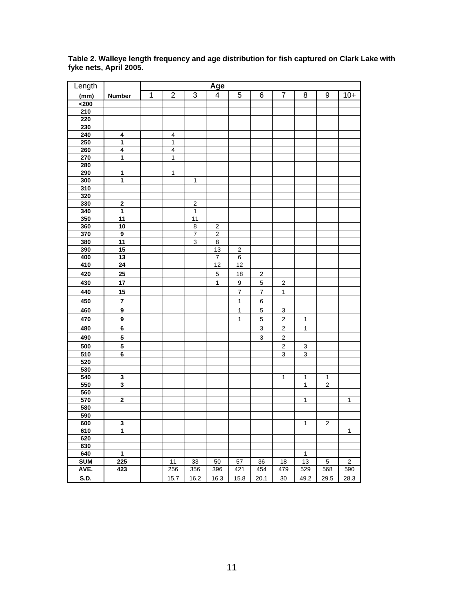| Length           |                         |   |                         |                           | Age                     |                  |                           |                         |                |                |                  |
|------------------|-------------------------|---|-------------------------|---------------------------|-------------------------|------------------|---------------------------|-------------------------|----------------|----------------|------------------|
| (mm)             | <b>Number</b>           | 1 | $\overline{2}$          | 3                         | $\overline{\mathbf{4}}$ | 5                | 6                         | $\overline{7}$          | 8              | 9              | $10+$            |
| $200$            |                         |   |                         |                           |                         |                  |                           |                         |                |                |                  |
| 210              |                         |   |                         |                           |                         |                  |                           |                         |                |                |                  |
| 220              |                         |   |                         |                           |                         |                  |                           |                         |                |                |                  |
| 230              |                         |   |                         |                           |                         |                  |                           |                         |                |                |                  |
| 240              | 4                       |   | $\overline{\mathbf{4}}$ |                           |                         |                  |                           |                         |                |                |                  |
| 250              | $\mathbf{1}$            |   | $\mathbf{1}$            |                           |                         |                  |                           |                         |                |                |                  |
| 260              | $\overline{4}$          |   | $\overline{4}$          |                           |                         |                  |                           |                         |                |                |                  |
| 270              | $\mathbf{1}$            |   | $\mathbf{1}$            |                           |                         |                  |                           |                         |                |                |                  |
| 280              |                         |   |                         |                           |                         |                  |                           |                         |                |                |                  |
| 290              | 1                       |   | $\mathbf{1}$            |                           |                         |                  |                           |                         |                |                |                  |
| 300              | $\overline{\mathbf{1}}$ |   |                         | $\mathbf{1}$              |                         |                  |                           |                         |                |                |                  |
| 310              |                         |   |                         |                           |                         |                  |                           |                         |                |                |                  |
| 320              |                         |   |                         |                           |                         |                  |                           |                         |                |                |                  |
| 330              | $\mathbf 2$             |   |                         | $\mathbf 2$               |                         |                  |                           |                         |                |                |                  |
| 340              | 1                       |   |                         | $\overline{1}$            |                         |                  |                           |                         |                |                |                  |
| 350              | 11                      |   |                         | 11                        |                         |                  |                           |                         |                |                |                  |
| 360              | 10                      |   |                         | 8                         | $\boldsymbol{2}$        |                  |                           |                         |                |                |                  |
| 370              | 9                       |   |                         | $\boldsymbol{7}$          | $\overline{2}$          |                  |                           |                         |                |                |                  |
| 380              | 11                      |   |                         | $\ensuremath{\mathsf{3}}$ | $\bf{8}$                |                  |                           |                         |                |                |                  |
| 390              | 15                      |   |                         |                           | 13                      | $\mathbf 2$      |                           |                         |                |                |                  |
| 400              | 13                      |   |                         |                           | $\boldsymbol{7}$        | 6                |                           |                         |                |                |                  |
| 410              | 24                      |   |                         |                           | 12                      | 12               |                           |                         |                |                |                  |
| 420              | 25                      |   |                         |                           | $\overline{5}$          | 18               | $\overline{2}$            |                         |                |                |                  |
| 430              | 17                      |   |                         |                           | 1                       | $\overline{9}$   | $\mathbf 5$               | $\overline{2}$          |                |                |                  |
| 440              | 15                      |   |                         |                           |                         | $\boldsymbol{7}$ | $\overline{\mathcal{I}}$  | $\mathbf{1}$            |                |                |                  |
| 450              | $\overline{\mathbf{7}}$ |   |                         |                           |                         | $\mathbf{1}$     | 6                         |                         |                |                |                  |
| 460              |                         |   |                         |                           |                         |                  |                           |                         |                |                |                  |
|                  | $\overline{9}$          |   |                         |                           |                         | $\mathbf{1}$     | $\mathbf 5$               | $\overline{3}$          |                |                |                  |
| 470              | $\overline{9}$          |   |                         |                           |                         | $\mathbf{1}$     | $\mathbf 5$               | $\overline{\mathbf{c}}$ | $\overline{1}$ |                |                  |
| 480              | $6\phantom{a}$          |   |                         |                           |                         |                  | $\overline{3}$            | $\overline{\mathbf{c}}$ | 1              |                |                  |
| 490              | $\overline{\mathbf{5}}$ |   |                         |                           |                         |                  | $\ensuremath{\mathsf{3}}$ | $\overline{\mathbf{c}}$ |                |                |                  |
| 500              | $\overline{\mathbf{5}}$ |   |                         |                           |                         |                  |                           | $\overline{2}$          | $\overline{3}$ |                |                  |
| 510              | 6                       |   |                         |                           |                         |                  |                           | 3                       | 3              |                |                  |
| 520              |                         |   |                         |                           |                         |                  |                           |                         |                |                |                  |
| 530              |                         |   |                         |                           |                         |                  |                           |                         |                |                |                  |
| 540              | 3                       |   |                         |                           |                         |                  |                           | 1                       | 1              | $\mathbf{1}$   |                  |
| 550              | 3                       |   |                         |                           |                         |                  |                           |                         | 1              | $\overline{c}$ |                  |
| $\overline{560}$ |                         |   |                         |                           |                         |                  |                           |                         |                |                |                  |
| 570              | $\mathbf 2$             |   |                         |                           |                         |                  |                           |                         | 1              |                | 1                |
| 580              |                         |   |                         |                           |                         |                  |                           |                         |                |                |                  |
| 590              |                         |   |                         |                           |                         |                  |                           |                         |                |                |                  |
| 600              | 3                       |   |                         |                           |                         |                  |                           |                         | 1              | z              |                  |
| 610              | $\overline{1}$          |   |                         |                           |                         |                  |                           |                         |                |                | 1                |
| 620              |                         |   |                         |                           |                         |                  |                           |                         |                |                |                  |
| 630              |                         |   |                         |                           |                         |                  |                           |                         |                |                |                  |
| 640              | $\mathbf{1}$            |   |                         |                           |                         |                  |                           |                         | $\mathbf{1}$   |                |                  |
| <b>SUM</b>       | 225                     |   | 11                      | 33                        | 50                      | 57               | 36                        | 18                      | 13             | 5              | $\boldsymbol{2}$ |
| AVE.             | 423                     |   | 256                     | 356                       | 396                     | 421              | $\overline{454}$          | 479                     | 529            | 568            | 590              |
| <b>S.D.</b>      |                         |   | 15.7                    | 16.2                      | 16.3                    | 15.8             | 20.1                      | $30\,$                  | 49.2           | 29.5           | 28.3             |

**Table 2. Walleye length frequency and age distribution for fish captured on Clark Lake with fyke nets, April 2005.**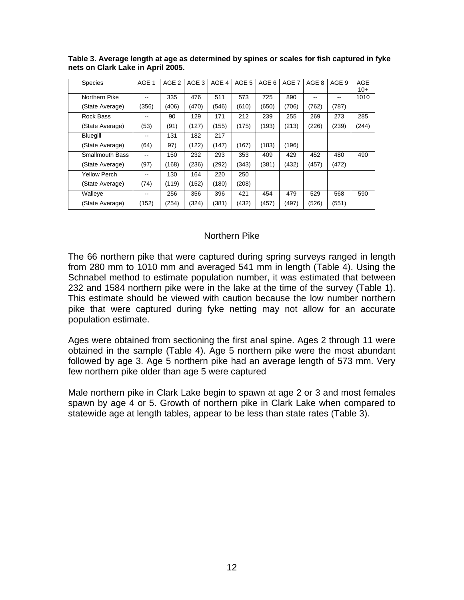| <b>Species</b>         | AGE 1 | AGE <sub>2</sub> | AGE 3 | AGE 4 | AGE 5 | AGE 6 | AGE <sub>7</sub> | AGE 8 | AGE 9 | <b>AGE</b> |
|------------------------|-------|------------------|-------|-------|-------|-------|------------------|-------|-------|------------|
|                        |       |                  |       |       |       |       |                  |       |       | $10+$      |
| Northern Pike          | --    | 335              | 476   | 511   | 573   | 725   | 890              | --    | --    | 1010       |
| (State Average)        | (356) | (406)            | (470) | (546) | (610) | (650) | (706)            | (762) | (787) |            |
| Rock Bass              |       | 90               | 129   | 171   | 212   | 239   | 255              | 269   | 273   | 285        |
| (State Average)        | (53)  | (91)             | (127) | (155) | (175) | (193) | (213)            | (226) | (239) | (244)      |
| <b>Bluegill</b>        | --    | 131              | 182   | 217   |       |       |                  |       |       |            |
| (State Average)        | (64)  | 97)              | (122) | (147) | (167) | (183) | (196)            |       |       |            |
| <b>Smallmouth Bass</b> | --    | 150              | 232   | 293   | 353   | 409   | 429              | 452   | 480   | 490        |
| (State Average)        | (97)  | (168)            | (236) | (292) | (343) | (381) | (432)            | (457) | (472) |            |
| Yellow Perch           | --    | 130              | 164   | 220   | 250   |       |                  |       |       |            |
| (State Average)        | (74)  | (119)            | (152) | (180) | (208) |       |                  |       |       |            |
| Walleye                | --    | 256              | 356   | 396   | 421   | 454   | 479              | 529   | 568   | 590        |
| (State Average)        | (152) | (254)            | (324) | (381) | (432) | (457) | (497)            | (526) | (551) |            |

**Table 3. Average length at age as determined by spines or scales for fish captured in fyke nets on Clark Lake in April 2005.** 

#### Northern Pike

The 66 northern pike that were captured during spring surveys ranged in length from 280 mm to 1010 mm and averaged 541 mm in length (Table 4). Using the Schnabel method to estimate population number, it was estimated that between 232 and 1584 northern pike were in the lake at the time of the survey (Table 1). This estimate should be viewed with caution because the low number northern pike that were captured during fyke netting may not allow for an accurate population estimate.

Ages were obtained from sectioning the first anal spine. Ages 2 through 11 were obtained in the sample (Table 4). Age 5 northern pike were the most abundant followed by age 3. Age 5 northern pike had an average length of 573 mm. Very few northern pike older than age 5 were captured

Male northern pike in Clark Lake begin to spawn at age 2 or 3 and most females spawn by age 4 or 5. Growth of northern pike in Clark Lake when compared to statewide age at length tables, appear to be less than state rates (Table 3).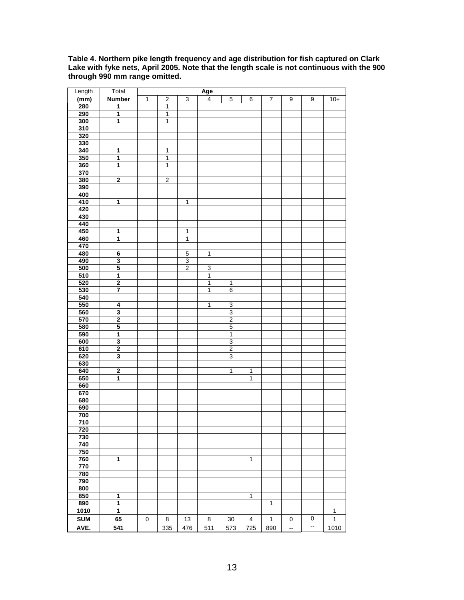**Table 4. Northern pike length frequency and age distribution for fish captured on Clark Lake with fyke nets, April 2005. Note that the length scale is not continuous with the 900 through 990 mm range omitted.** 

| Length     | Total                   |              |                  |                           | Age                     |                |                |              |                  |                  |                |
|------------|-------------------------|--------------|------------------|---------------------------|-------------------------|----------------|----------------|--------------|------------------|------------------|----------------|
| (mm)       | <b>Number</b>           | $\mathbf{1}$ | $\boldsymbol{2}$ | $\ensuremath{\mathsf{3}}$ | $\overline{\mathbf{4}}$ | $\mathbf 5$    | 6              | 7            | $\boldsymbol{9}$ | $\boldsymbol{9}$ | $10+$          |
| 280        | 1                       |              | $\mathbf{1}$     |                           |                         |                |                |              |                  |                  |                |
| 290        | $\overline{\mathbf{1}}$ |              | $\mathbf{1}$     |                           |                         |                |                |              |                  |                  |                |
| 300        | 1                       |              | $\mathbf{1}$     |                           |                         |                |                |              |                  |                  |                |
| 310        |                         |              |                  |                           |                         |                |                |              |                  |                  |                |
| 320        |                         |              |                  |                           |                         |                |                |              |                  |                  |                |
| 330        |                         |              |                  |                           |                         |                |                |              |                  |                  |                |
| 340        | 1                       |              | $\mathbf{1}$     |                           |                         |                |                |              |                  |                  |                |
| 350        | $\overline{\mathbf{1}}$ |              | $\mathbf{1}$     |                           |                         |                |                |              |                  |                  |                |
| 360        | $\overline{\mathbf{1}}$ |              | $\overline{1}$   |                           |                         |                |                |              |                  |                  |                |
| 370        |                         |              |                  |                           |                         |                |                |              |                  |                  |                |
| 380        | $\overline{\mathbf{2}}$ |              | $\overline{2}$   |                           |                         |                |                |              |                  |                  |                |
| 390        |                         |              |                  |                           |                         |                |                |              |                  |                  |                |
| 400        |                         |              |                  |                           |                         |                |                |              |                  |                  |                |
| 410        | 1                       |              |                  | $\mathbf{1}$              |                         |                |                |              |                  |                  |                |
| 420        |                         |              |                  |                           |                         |                |                |              |                  |                  |                |
|            |                         |              |                  |                           |                         |                |                |              |                  |                  |                |
| 430<br>440 |                         |              |                  |                           |                         |                |                |              |                  |                  |                |
| 450        |                         |              |                  |                           |                         |                |                |              |                  |                  |                |
|            | 1<br>$\overline{1}$     |              |                  | 1<br>1                    |                         |                |                |              |                  |                  |                |
| 460        |                         |              |                  |                           |                         |                |                |              |                  |                  |                |
| 470        |                         |              |                  |                           |                         |                |                |              |                  |                  |                |
| 480        | 6                       |              |                  | $\overline{5}$            | 1                       |                |                |              |                  |                  |                |
| 490        | $\overline{\mathbf{3}}$ |              |                  | 3                         |                         |                |                |              |                  |                  |                |
| 500        | 5                       |              |                  | $\overline{2}$            | 3                       |                |                |              |                  |                  |                |
| 510        | $\overline{\mathbf{1}}$ |              |                  |                           | $\overline{1}$          |                |                |              |                  |                  |                |
| 520        | $\overline{\mathbf{2}}$ |              |                  |                           | $\overline{1}$          | $\mathbf{1}$   |                |              |                  |                  |                |
| 530        | 7                       |              |                  |                           | $\mathbf{1}$            | $\overline{6}$ |                |              |                  |                  |                |
| 540        |                         |              |                  |                           |                         |                |                |              |                  |                  |                |
| 550        | 4                       |              |                  |                           | $\overline{1}$          | 3              |                |              |                  |                  |                |
| 560        | 3                       |              |                  |                           |                         | 3              |                |              |                  |                  |                |
| 570        | $\overline{\mathbf{2}}$ |              |                  |                           |                         | $\overline{2}$ |                |              |                  |                  |                |
| 580        | 5                       |              |                  |                           |                         | $\mathbf 5$    |                |              |                  |                  |                |
| 590        | $\overline{\mathbf{1}}$ |              |                  |                           |                         | $\overline{1}$ |                |              |                  |                  |                |
| 600        | 3                       |              |                  |                           |                         | $\overline{3}$ |                |              |                  |                  |                |
| 610        | $\overline{\mathbf{2}}$ |              |                  |                           |                         | 2              |                |              |                  |                  |                |
| 620        | 3                       |              |                  |                           |                         | 3              |                |              |                  |                  |                |
| 630        |                         |              |                  |                           |                         |                |                |              |                  |                  |                |
| 640        | $\overline{\mathbf{2}}$ |              |                  |                           |                         | $\mathbf{1}$   | $\mathbf{1}$   |              |                  |                  |                |
| 650        | 1                       |              |                  |                           |                         |                | $\overline{1}$ |              |                  |                  |                |
| 660        |                         |              |                  |                           |                         |                |                |              |                  |                  |                |
| 670        |                         |              |                  |                           |                         |                |                |              |                  |                  |                |
| 680        |                         |              |                  |                           |                         |                |                |              |                  |                  |                |
| 690        |                         |              |                  |                           |                         |                |                |              |                  |                  |                |
| 700        |                         |              |                  |                           |                         |                |                |              |                  |                  |                |
| 710        |                         |              |                  |                           |                         |                |                |              |                  |                  |                |
| 720        |                         |              |                  |                           |                         |                |                |              |                  |                  |                |
| 730        |                         |              |                  |                           |                         |                |                |              |                  |                  |                |
| 740        |                         |              |                  |                           |                         |                |                |              |                  |                  |                |
| 750        |                         |              |                  |                           |                         |                |                |              |                  |                  |                |
| 760        | $\overline{1}$          |              |                  |                           |                         |                | $\overline{1}$ |              |                  |                  |                |
| 770        |                         |              |                  |                           |                         |                |                |              |                  |                  |                |
| 780        |                         |              |                  |                           |                         |                |                |              |                  |                  |                |
| 790        |                         |              |                  |                           |                         |                |                |              |                  |                  |                |
| 800        |                         |              |                  |                           |                         |                |                |              |                  |                  |                |
| 850        | $\overline{\mathbf{1}}$ |              |                  |                           |                         |                | $\overline{1}$ |              |                  |                  |                |
| 890        | $\overline{\mathbf{1}}$ |              |                  |                           |                         |                |                | 1            |                  |                  |                |
| 1010       | $\overline{1}$          |              |                  |                           |                         |                |                |              |                  |                  | $\overline{1}$ |
| <b>SUM</b> | 65                      | $\pmb{0}$    | 8                | 13                        | 8                       | $30\,$         | $\overline{4}$ | $\mathbf{1}$ | 0                | 0                | $\mathbf{1}$   |
| AVE.       | 541                     |              | 335              | 476                       | 511                     | 573            | 725            | 890          | Ξ.               | ۰.               | 1010           |
|            |                         |              |                  |                           |                         |                |                |              |                  |                  |                |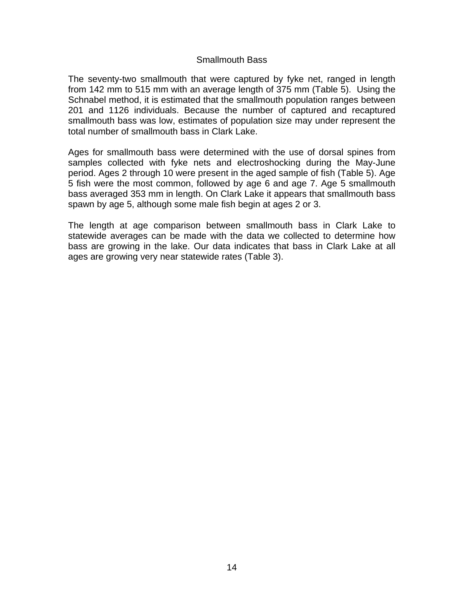#### Smallmouth Bass

The seventy-two smallmouth that were captured by fyke net, ranged in length from 142 mm to 515 mm with an average length of 375 mm (Table 5). Using the Schnabel method, it is estimated that the smallmouth population ranges between 201 and 1126 individuals. Because the number of captured and recaptured smallmouth bass was low, estimates of population size may under represent the total number of smallmouth bass in Clark Lake.

Ages for smallmouth bass were determined with the use of dorsal spines from samples collected with fyke nets and electroshocking during the May-June period. Ages 2 through 10 were present in the aged sample of fish (Table 5). Age 5 fish were the most common, followed by age 6 and age 7. Age 5 smallmouth bass averaged 353 mm in length. On Clark Lake it appears that smallmouth bass spawn by age 5, although some male fish begin at ages 2 or 3.

The length at age comparison between smallmouth bass in Clark Lake to statewide averages can be made with the data we collected to determine how bass are growing in the lake. Our data indicates that bass in Clark Lake at all ages are growing very near statewide rates (Table 3).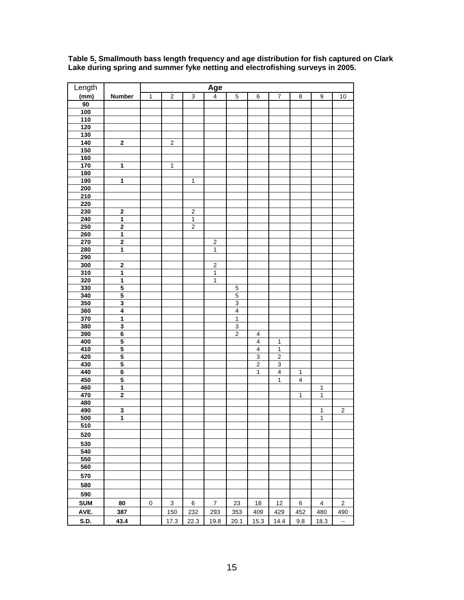| Length           |                                           |              |                  |                         | <u>Age</u>       |                         |                           |                  |              |                  |                          |
|------------------|-------------------------------------------|--------------|------------------|-------------------------|------------------|-------------------------|---------------------------|------------------|--------------|------------------|--------------------------|
| (mm)             | <b>Number</b>                             | $\mathbf{1}$ | $\sqrt{2}$       | $\mathsf 3$             | $\overline{4}$   | $\mathbf 5$             | $\,6$                     | $\overline{7}$   | 8            | $\boldsymbol{9}$ | 10                       |
| 90               |                                           |              |                  |                         |                  |                         |                           |                  |              |                  |                          |
| 100              |                                           |              |                  |                         |                  |                         |                           |                  |              |                  |                          |
| $\frac{1}{10}$   |                                           |              |                  |                         |                  |                         |                           |                  |              |                  |                          |
| 120              |                                           |              |                  |                         |                  |                         |                           |                  |              |                  |                          |
| 130              |                                           |              |                  |                         |                  |                         |                           |                  |              |                  |                          |
| 140              | $\bf{2}$                                  |              | $\boldsymbol{2}$ |                         |                  |                         |                           |                  |              |                  |                          |
| 150              |                                           |              |                  |                         |                  |                         |                           |                  |              |                  |                          |
| 160              |                                           |              |                  |                         |                  |                         |                           |                  |              |                  |                          |
|                  |                                           |              |                  |                         |                  |                         |                           |                  |              |                  |                          |
| 170              | $\mathbf{1}$                              |              | 1                |                         |                  |                         |                           |                  |              |                  |                          |
| $\frac{180}{ }$  |                                           |              |                  |                         |                  |                         |                           |                  |              |                  |                          |
| 190              | $\overline{\mathbf{1}}$                   |              |                  | $\mathbf{1}$            |                  |                         |                           |                  |              |                  |                          |
| 200              |                                           |              |                  |                         |                  |                         |                           |                  |              |                  |                          |
| 210              |                                           |              |                  |                         |                  |                         |                           |                  |              |                  |                          |
| 220              |                                           |              |                  |                         |                  |                         |                           |                  |              |                  |                          |
| 230              | $\overline{\mathbf{2}}$                   |              |                  | $\overline{\mathbf{c}}$ |                  |                         |                           |                  |              |                  |                          |
| 240              | $\overline{1}$                            |              |                  | 1                       |                  |                         |                           |                  |              |                  |                          |
| 250              | $\bf{2}$                                  |              |                  | $\overline{2}$          |                  |                         |                           |                  |              |                  |                          |
| 260              | $\mathbf{1}$                              |              |                  |                         |                  |                         |                           |                  |              |                  |                          |
| 270              | $\overline{\mathbf{2}}$                   |              |                  |                         | $\overline{2}$   |                         |                           |                  |              |                  |                          |
| 280              | $\mathbf{1}$                              |              |                  |                         | $\mathbf{1}$     |                         |                           |                  |              |                  |                          |
| 290              |                                           |              |                  |                         |                  |                         |                           |                  |              |                  |                          |
| 300              | $\mathbf 2$                               |              |                  |                         | $\overline{2}$   |                         |                           |                  |              |                  |                          |
| 310              | $\overline{\mathbf{1}}$                   |              |                  |                         | $\mathbf{1}$     |                         |                           |                  |              |                  |                          |
| 320              | $\mathbf{1}$                              |              |                  |                         | $\mathbf{1}$     |                         |                           |                  |              |                  |                          |
| 330              | 5                                         |              |                  |                         |                  | $\mathbf 5$             |                           |                  |              |                  |                          |
| 340              | 5                                         |              |                  |                         |                  | $\overline{5}$          |                           |                  |              |                  |                          |
| 350              | $\overline{\mathbf{3}}$                   |              |                  |                         |                  | $\overline{3}$          |                           |                  |              |                  |                          |
| 360              | $\overline{\mathbf{4}}$                   |              |                  |                         |                  | $\overline{\mathbf{4}}$ |                           |                  |              |                  |                          |
| 370              | $\overline{1}$                            |              |                  |                         |                  | $\overline{1}$          |                           |                  |              |                  |                          |
| 380              | 3                                         |              |                  |                         |                  | 3                       |                           |                  |              |                  |                          |
| 390              | $\overline{\mathbf{6}}$                   |              |                  |                         |                  | $\overline{2}$          | $\overline{\mathbf{4}}$   |                  |              |                  |                          |
| 400              | 5                                         |              |                  |                         |                  |                         | $\overline{\mathbf{4}}$   | $\mathbf 1$      |              |                  |                          |
| 410              | 5                                         |              |                  |                         |                  |                         | $\overline{4}$            | $\overline{1}$   |              |                  |                          |
| 420              | $\overline{\mathbf{5}}$                   |              |                  |                         |                  |                         | $\ensuremath{\mathsf{3}}$ | $\boldsymbol{2}$ |              |                  |                          |
| 430              | $\overline{5}$                            |              |                  |                         |                  |                         | $\overline{\mathbf{c}}$   | $\mathsf 3$      |              |                  |                          |
| 440              | 6                                         |              |                  |                         |                  |                         | 1                         | $\overline{4}$   | $\mathbf{1}$ |                  |                          |
|                  |                                           |              |                  |                         |                  |                         |                           |                  |              |                  |                          |
| 450              | $\overline{\mathbf{5}}$<br>$\overline{1}$ |              |                  |                         |                  |                         |                           | $\mathbf{1}$     | 4            |                  |                          |
| 460              |                                           |              |                  |                         |                  |                         |                           |                  |              | $\mathbf{1}$     |                          |
| 470              | $\bf{2}$                                  |              |                  |                         |                  |                         |                           |                  | $\mathbf{1}$ | $\mathbf{1}$     |                          |
| 480              |                                           |              |                  |                         |                  |                         |                           |                  |              |                  |                          |
| 490              | 3                                         |              |                  |                         |                  |                         |                           |                  |              | $\mathbf 1$      | $\boldsymbol{2}$         |
| 500              | $\overline{1}$                            |              |                  |                         |                  |                         |                           |                  |              | 1                |                          |
| 510              |                                           |              |                  |                         |                  |                         |                           |                  |              |                  |                          |
| 520              |                                           |              |                  |                         |                  |                         |                           |                  |              |                  |                          |
| 530              |                                           |              |                  |                         |                  |                         |                           |                  |              |                  |                          |
| $\overline{540}$ |                                           |              |                  |                         |                  |                         |                           |                  |              |                  |                          |
| 550              |                                           |              |                  |                         |                  |                         |                           |                  |              |                  |                          |
| 560              |                                           |              |                  |                         |                  |                         |                           |                  |              |                  |                          |
| 570              |                                           |              |                  |                         |                  |                         |                           |                  |              |                  |                          |
|                  |                                           |              |                  |                         |                  |                         |                           |                  |              |                  |                          |
| 580              |                                           |              |                  |                         |                  |                         |                           |                  |              |                  |                          |
| 590              |                                           |              |                  |                         |                  |                         |                           |                  |              |                  |                          |
| <b>SUM</b>       | 80                                        | $\pmb{0}$    | 3                | 6                       | $\boldsymbol{7}$ | 23                      | 18                        | 12               | 6            | 4                | $\mathbf 2$              |
| AVE.             | 387                                       |              | 150              | 232                     | 293              | 353                     | 409                       | 429              | 452          | 480              | 490                      |
|                  |                                           |              |                  |                         |                  |                         |                           |                  |              |                  |                          |
| S.D.             | 43.4                                      |              | 17.3             | 22.3                    | 19.8             | 20.1                    | 15.3                      | 14.4             | 9.8          | 18.3             | $\overline{\phantom{a}}$ |

**Table 5. Smallmouth bass length frequency and age distribution for fish captured on Clark Lake during spring and summer fyke netting and electrofishing surveys in 2005.**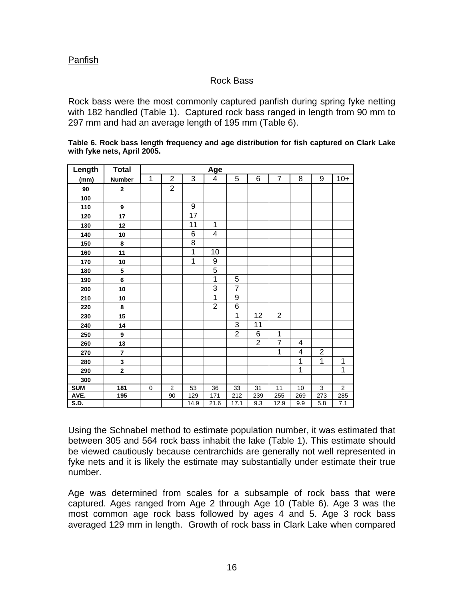#### Panfish

### Rock Bass

Rock bass were the most commonly captured panfish during spring fyke netting with 182 handled (Table 1). Captured rock bass ranged in length from 90 mm to 297 mm and had an average length of 195 mm (Table 6).

| Table 6. Rock bass length frequency and age distribution for fish captured on Clark Lake |  |  |
|------------------------------------------------------------------------------------------|--|--|
| with fyke nets, April 2005.                                                              |  |  |

| Length     | <b>Total</b>            |           |                |                 | Age            |                |                |                |     |                |              |
|------------|-------------------------|-----------|----------------|-----------------|----------------|----------------|----------------|----------------|-----|----------------|--------------|
| (mm)       | Number                  | 1         | $\overline{2}$ | 3               | 4              | 5              | 6              | $\overline{7}$ | 8   | 9              | $10+$        |
| 90         | $\mathbf{2}$            |           | $\overline{2}$ |                 |                |                |                |                |     |                |              |
| 100        |                         |           |                |                 |                |                |                |                |     |                |              |
| 110        | 9                       |           |                | 9               |                |                |                |                |     |                |              |
| 120        | 17                      |           |                | $\overline{17}$ |                |                |                |                |     |                |              |
| 130        | 12                      |           |                | 11              | $\mathbf{1}$   |                |                |                |     |                |              |
| 140        | 10                      |           |                | 6               | $\overline{4}$ |                |                |                |     |                |              |
| 150        | 8                       |           |                | 8               |                |                |                |                |     |                |              |
| 160        | 11                      |           |                | 1               | 10             |                |                |                |     |                |              |
| 170        | 10                      |           |                | 1               | 9              |                |                |                |     |                |              |
| 180        | 5                       |           |                |                 | $\overline{5}$ |                |                |                |     |                |              |
| 190        | 6                       |           |                |                 | $\mathbf 1$    | 5              |                |                |     |                |              |
| 200        | 10                      |           |                |                 | 3              | $\overline{7}$ |                |                |     |                |              |
| 210        | 10                      |           |                |                 | $\mathbf{1}$   | 9              |                |                |     |                |              |
| 220        | 8                       |           |                |                 | $\overline{2}$ | $\overline{6}$ |                |                |     |                |              |
| 230        | 15                      |           |                |                 |                | 1              | 12             | $\overline{2}$ |     |                |              |
| 240        | 14                      |           |                |                 |                | 3              | 11             |                |     |                |              |
| 250        | 9                       |           |                |                 |                | $\overline{2}$ | $\overline{6}$ | 1              |     |                |              |
| 260        | 13                      |           |                |                 |                |                | $\overline{2}$ | $\overline{7}$ | 4   |                |              |
| 270        | $\overline{\mathbf{7}}$ |           |                |                 |                |                |                | 1              | 4   | $\overline{2}$ |              |
| 280        | 3                       |           |                |                 |                |                |                |                | 1   | $\mathbf 1$    | $\mathbf{1}$ |
| 290        | $\overline{\mathbf{2}}$ |           |                |                 |                |                |                |                | 1   |                | 1            |
| 300        |                         |           |                |                 |                |                |                |                |     |                |              |
| <b>SUM</b> | 181                     | $\pmb{0}$ | $\mathbf 2$    | 53              | 36             | 33             | 31             | 11             | 10  | $\mathsf 3$    | $\mathbf 2$  |
| AVE.       | 195                     |           | 90             | 129             | 171            | 212            | 239            | 255            | 269 | 273            | 285          |
| S.D.       |                         |           |                | 14.9            | 21.6           | 17.1           | 9.3            | 12.9           | 9.9 | 5.8            | 7.1          |

Using the Schnabel method to estimate population number, it was estimated that between 305 and 564 rock bass inhabit the lake (Table 1). This estimate should be viewed cautiously because centrarchids are generally not well represented in fyke nets and it is likely the estimate may substantially under estimate their true number.

Age was determined from scales for a subsample of rock bass that were captured. Ages ranged from Age 2 through Age 10 (Table 6). Age 3 was the most common age rock bass followed by ages 4 and 5. Age 3 rock bass averaged 129 mm in length. Growth of rock bass in Clark Lake when compared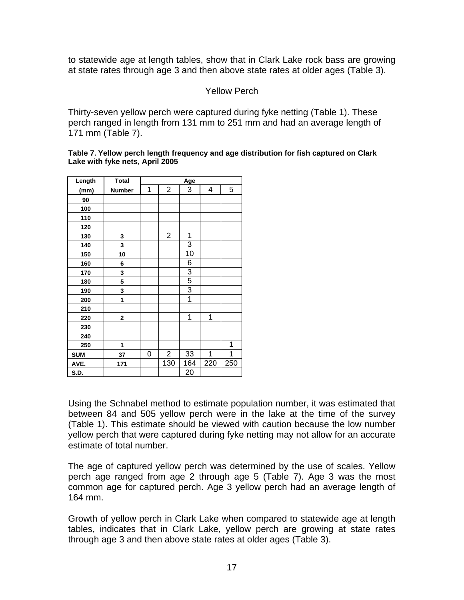to statewide age at length tables, show that in Clark Lake rock bass are growing at state rates through age 3 and then above state rates at older ages (Table 3).

#### Yellow Perch

Thirty-seven yellow perch were captured during fyke netting (Table 1). These perch ranged in length from 131 mm to 251 mm and had an average length of 171 mm (Table 7).

**Table 7. Yellow perch length frequency and age distribution for fish captured on Clark Lake with fyke nets, April 2005**

| Length     | <b>Total</b> |   |                  | Age            |     |     |
|------------|--------------|---|------------------|----------------|-----|-----|
| (mm)       | Number       | 1 | $\overline{2}$   | 3              | 4   | 5   |
| 90         |              |   |                  |                |     |     |
| 100        |              |   |                  |                |     |     |
| 110        |              |   |                  |                |     |     |
| 120        |              |   |                  |                |     |     |
| 130        | 3            |   | $\overline{2}$   | 1              |     |     |
| 140        | 3            |   |                  | 3              |     |     |
| 150        | 10           |   |                  | 10             |     |     |
| 160        | 6            |   |                  | 6              |     |     |
| 170        | 3            |   |                  | $\overline{3}$ |     |     |
| 180        | 5            |   |                  | 5              |     |     |
| 190        | 3            |   |                  | $\overline{3}$ |     |     |
| 200        | 1            |   |                  | $\overline{1}$ |     |     |
| 210        |              |   |                  |                |     |     |
| 220        | 2            |   |                  | $\mathbf 1$    | 1   |     |
| 230        |              |   |                  |                |     |     |
| 240        |              |   |                  |                |     |     |
| 250        | 1            |   |                  |                |     | 1   |
| <b>SUM</b> | 37           | 0 | $\boldsymbol{2}$ | 33             | 1   | 1   |
| AVE.       | 171          |   | 130              | 164            | 220 | 250 |
| S.D.       |              |   |                  | 20             |     |     |

Using the Schnabel method to estimate population number, it was estimated that between 84 and 505 yellow perch were in the lake at the time of the survey (Table 1). This estimate should be viewed with caution because the low number yellow perch that were captured during fyke netting may not allow for an accurate estimate of total number.

The age of captured yellow perch was determined by the use of scales. Yellow perch age ranged from age 2 through age 5 (Table 7). Age 3 was the most common age for captured perch. Age 3 yellow perch had an average length of 164 mm.

Growth of yellow perch in Clark Lake when compared to statewide age at length tables, indicates that in Clark Lake, yellow perch are growing at state rates through age 3 and then above state rates at older ages (Table 3).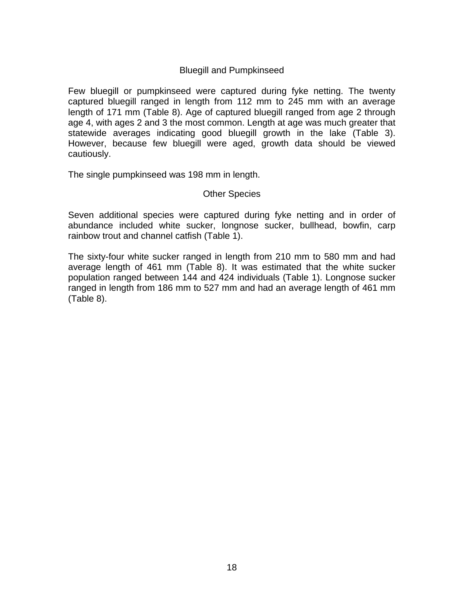### Bluegill and Pumpkinseed

Few bluegill or pumpkinseed were captured during fyke netting. The twenty captured bluegill ranged in length from 112 mm to 245 mm with an average length of 171 mm (Table 8). Age of captured bluegill ranged from age 2 through age 4, with ages 2 and 3 the most common. Length at age was much greater that statewide averages indicating good bluegill growth in the lake (Table 3). However, because few bluegill were aged, growth data should be viewed cautiously.

The single pumpkinseed was 198 mm in length.

#### Other Species

Seven additional species were captured during fyke netting and in order of abundance included white sucker, longnose sucker, bullhead, bowfin, carp rainbow trout and channel catfish (Table 1).

The sixty-four white sucker ranged in length from 210 mm to 580 mm and had average length of 461 mm (Table 8). It was estimated that the white sucker population ranged between 144 and 424 individuals (Table 1). Longnose sucker ranged in length from 186 mm to 527 mm and had an average length of 461 mm (Table 8).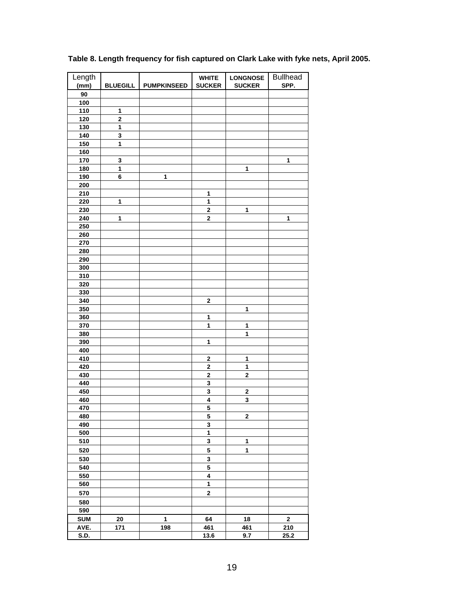| Length      |                         |                    | <b>WHITE</b>            | <b>LONGNOSE</b>         | <b>Bullhead</b> |
|-------------|-------------------------|--------------------|-------------------------|-------------------------|-----------------|
| (mm)        | <b>BLUEGILL</b>         | <b>PUMPKINSEED</b> | <b>SUCKER</b>           | <b>SUCKER</b>           | SPP.            |
| 90          |                         |                    |                         |                         |                 |
| 100         |                         |                    |                         |                         |                 |
| 110         | $\mathbf{1}$            |                    |                         |                         |                 |
| 120         | 2                       |                    |                         |                         |                 |
| 130         | 1                       |                    |                         |                         |                 |
| 140         | 3                       |                    |                         |                         |                 |
| 150         | $\overline{\mathbf{1}}$ |                    |                         |                         |                 |
| 160         |                         |                    |                         |                         |                 |
| 170         | $\mathbf{3}$            |                    |                         |                         | 1               |
| 180         | 1                       |                    |                         | 1                       |                 |
| 190         | 6                       | 1                  |                         |                         |                 |
| 200         |                         |                    |                         |                         |                 |
| 210         |                         |                    | $\mathbf{1}$            |                         |                 |
| 220         | $\mathbf{1}$            |                    | $\mathbf{1}$            |                         |                 |
| 230         |                         |                    | $\mathbf 2$             | 1                       |                 |
| 240         | 1                       |                    | $\mathbf 2$             |                         | 1               |
| 250         |                         |                    |                         |                         |                 |
| 260         |                         |                    |                         |                         |                 |
| 270         |                         |                    |                         |                         |                 |
| 280         |                         |                    |                         |                         |                 |
| 290         |                         |                    |                         |                         |                 |
| 300         |                         |                    |                         |                         |                 |
| 310         |                         |                    |                         |                         |                 |
| 320         |                         |                    |                         |                         |                 |
| 330         |                         |                    |                         |                         |                 |
| 340         |                         |                    | 2                       |                         |                 |
| 350         |                         |                    |                         | 1                       |                 |
| 360         |                         |                    | 1                       |                         |                 |
| 370         |                         |                    | 1                       | 1                       |                 |
| 380         |                         |                    |                         | $\ddot{\mathbf{1}}$     |                 |
| 390         |                         |                    | 1                       |                         |                 |
| 400         |                         |                    |                         |                         |                 |
| 410         |                         |                    | 2                       | 1                       |                 |
| 420         |                         |                    | $\mathbf 2$             | 1                       |                 |
| 430         |                         |                    | $\overline{\mathbf{2}}$ | $\overline{\mathbf{2}}$ |                 |
| 440         |                         |                    | 3                       |                         |                 |
| 450         |                         |                    | 3                       | 2                       |                 |
| 460         |                         |                    | 4                       | 3                       |                 |
| 470         |                         |                    | 5                       |                         |                 |
| 480         |                         |                    | 5                       | $\mathbf 2$             |                 |
| 490         |                         |                    | 3                       |                         |                 |
| 500         |                         |                    | $\mathbf{1}$            |                         |                 |
| 510         |                         |                    | 3                       | 1                       |                 |
| 520         |                         |                    | 5                       | 1                       |                 |
| 530         |                         |                    | 3                       |                         |                 |
| 540         |                         |                    | 5                       |                         |                 |
| 550         |                         |                    | $\overline{\mathbf{4}}$ |                         |                 |
| 560         |                         |                    | $\mathbf{1}$            |                         |                 |
| 570         |                         |                    | $\mathbf 2$             |                         |                 |
| 580         |                         |                    |                         |                         |                 |
| 590         |                         |                    |                         |                         |                 |
| <b>SUM</b>  | 20                      | 1                  | 64                      | 18                      | $\mathbf 2$     |
| AVE.        | 171                     | 198                | 461                     | 461                     | 210             |
| <b>S.D.</b> |                         |                    | 13.6                    | 9.7                     | 25.2            |
|             |                         |                    |                         |                         |                 |

## **Table 8. Length frequency for fish captured on Clark Lake with fyke nets, April 2005.**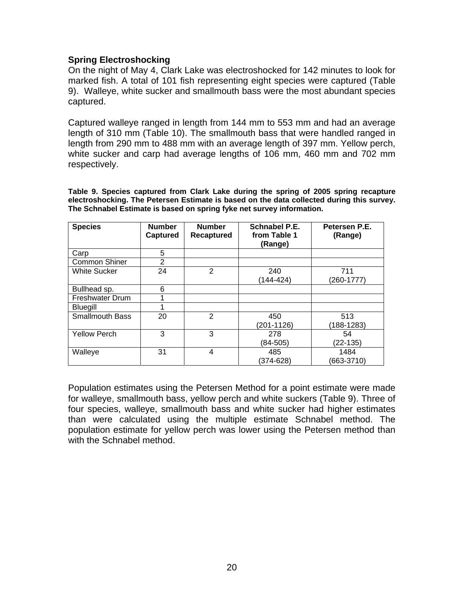### **Spring Electroshocking**

On the night of May 4, Clark Lake was electroshocked for 142 minutes to look for marked fish. A total of 101 fish representing eight species were captured (Table 9). Walleye, white sucker and smallmouth bass were the most abundant species captured.

Captured walleye ranged in length from 144 mm to 553 mm and had an average length of 310 mm (Table 10). The smallmouth bass that were handled ranged in length from 290 mm to 488 mm with an average length of 397 mm. Yellow perch, white sucker and carp had average lengths of 106 mm, 460 mm and 702 mm respectively.

**Table 9. Species captured from Clark Lake during the spring of 2005 spring recapture electroshocking. The Petersen Estimate is based on the data collected during this survey. The Schnabel Estimate is based on spring fyke net survey information.** 

| <b>Species</b>         | <b>Number</b><br>Captured | <b>Number</b><br><b>Recaptured</b> | Schnabel P.E.<br>from Table 1<br>(Range) | Petersen P.E.<br>(Range) |
|------------------------|---------------------------|------------------------------------|------------------------------------------|--------------------------|
| Carp                   | 5                         |                                    |                                          |                          |
| <b>Common Shiner</b>   | 2                         |                                    |                                          |                          |
| <b>White Sucker</b>    | 24                        | 2                                  | 240<br>(144-424)                         | 711<br>$(260-1777)$      |
| Bullhead sp.           | 6                         |                                    |                                          |                          |
| Freshwater Drum        |                           |                                    |                                          |                          |
| <b>Bluegill</b>        | 1                         |                                    |                                          |                          |
| <b>Smallmouth Bass</b> | 20                        | 2                                  | 450<br>(201-1126)                        | 513<br>$(188 - 1283)$    |
| <b>Yellow Perch</b>    | 3                         | 3                                  | 278<br>$(84-505)$                        | 54<br>$(22-135)$         |
| Walleye                | 31                        | 4                                  | 485<br>$(374 - 628)$                     | 1484<br>$(663-3710)$     |

Population estimates using the Petersen Method for a point estimate were made for walleye, smallmouth bass, yellow perch and white suckers (Table 9). Three of four species, walleye, smallmouth bass and white sucker had higher estimates than were calculated using the multiple estimate Schnabel method. The population estimate for yellow perch was lower using the Petersen method than with the Schnabel method.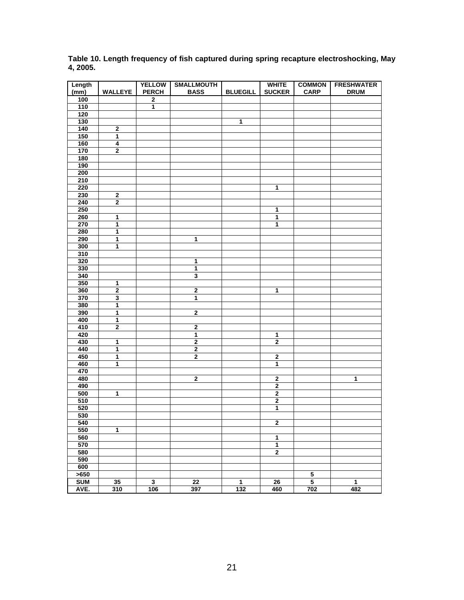| Length     |                         | <b>YELLOW</b> | <b>SMALLMOUTH</b>       |                 | <b>WHITE</b>            | <b>COMMON</b>           | <b>FRESHWATER</b> |
|------------|-------------------------|---------------|-------------------------|-----------------|-------------------------|-------------------------|-------------------|
| (mm)       | <b>WALLEYE</b>          | <b>PERCH</b>  | <b>BASS</b>             | <b>BLUEGILL</b> | <b>SUCKER</b>           | <b>CARP</b>             | <b>DRUM</b>       |
| 100        |                         | $\bf{2}$      |                         |                 |                         |                         |                   |
| 110        |                         | 1             |                         |                 |                         |                         |                   |
| 120        |                         |               |                         |                 |                         |                         |                   |
| 130        |                         |               |                         | 1               |                         |                         |                   |
| 140        | $\bf{2}$                |               |                         |                 |                         |                         |                   |
| 150        | $\overline{\mathbf{1}}$ |               |                         |                 |                         |                         |                   |
|            | 4                       |               |                         |                 |                         |                         |                   |
| 160        |                         |               |                         |                 |                         |                         |                   |
| 170        | $\bf{2}$                |               |                         |                 |                         |                         |                   |
| 180        |                         |               |                         |                 |                         |                         |                   |
| 190        |                         |               |                         |                 |                         |                         |                   |
| 200        |                         |               |                         |                 |                         |                         |                   |
| 210        |                         |               |                         |                 |                         |                         |                   |
| 220        |                         |               |                         |                 | $\overline{1}$          |                         |                   |
| 230        | $\overline{2}$          |               |                         |                 |                         |                         |                   |
| 240        | $\overline{2}$          |               |                         |                 |                         |                         |                   |
| 250        |                         |               |                         |                 | 1                       |                         |                   |
| 260        | 1                       |               |                         |                 | 1                       |                         |                   |
| 270        | 1                       |               |                         |                 | 1                       |                         |                   |
| 280        | 1                       |               |                         |                 |                         |                         |                   |
| 290        | 1                       |               | 1                       |                 |                         |                         |                   |
| 300        | 1                       |               |                         |                 |                         |                         |                   |
| 310        |                         |               |                         |                 |                         |                         |                   |
| 320        |                         |               | 1                       |                 |                         |                         |                   |
| 330        |                         |               | $\mathbf 1$             |                 |                         |                         |                   |
| 340        |                         |               | 3                       |                 |                         |                         |                   |
| 350        | 1                       |               |                         |                 |                         |                         |                   |
| 360        | $\overline{\mathbf{2}}$ |               | $\overline{\mathbf{2}}$ |                 | 1                       |                         |                   |
| 370        | $\overline{\mathbf{3}}$ |               | 1                       |                 |                         |                         |                   |
| 380        | 1                       |               |                         |                 |                         |                         |                   |
| 390        | 1                       |               | $\overline{2}$          |                 |                         |                         |                   |
| 400        | $\overline{\mathbf{1}}$ |               |                         |                 |                         |                         |                   |
| 410        | $\overline{\mathbf{2}}$ |               | $\overline{\mathbf{2}}$ |                 |                         |                         |                   |
|            |                         |               |                         |                 |                         |                         |                   |
| 420        |                         |               | $\mathbf{1}$            |                 | $\mathbf{1}$            |                         |                   |
| 430        | $\mathbf 1$             |               | $\bf{2}$                |                 | $\mathbf 2$             |                         |                   |
| 440        | 1                       |               | 2                       |                 |                         |                         |                   |
| 450        | 1                       |               | $\overline{\mathbf{2}}$ |                 | $\bf{2}$                |                         |                   |
| 460        | $\overline{1}$          |               |                         |                 | 1                       |                         |                   |
| 470        |                         |               |                         |                 |                         |                         |                   |
| 480        |                         |               | $\mathbf 2$             |                 | $\mathbf 2$             |                         | $\overline{1}$    |
| 490        |                         |               |                         |                 | $\overline{\mathbf{2}}$ |                         |                   |
| 500        | 1                       |               |                         |                 | $\overline{\mathbf{2}}$ |                         |                   |
| 510        |                         |               |                         |                 | $\overline{2}$          |                         |                   |
| 520        |                         |               |                         |                 | 1                       |                         |                   |
| 530        |                         |               |                         |                 |                         |                         |                   |
| 540        |                         |               |                         |                 | $\mathbf{2}$            |                         |                   |
| 550        | 1                       |               |                         |                 |                         |                         |                   |
| 560        |                         |               |                         |                 | 1                       |                         |                   |
| 570        |                         |               |                         |                 | 1                       |                         |                   |
| 580        |                         |               |                         |                 | $\mathbf{2}$            |                         |                   |
| 590        |                         |               |                         |                 |                         |                         |                   |
| 600        |                         |               |                         |                 |                         |                         |                   |
| >650       |                         |               |                         |                 |                         | 5                       |                   |
| <b>SUM</b> | 35                      | $\mathbf{3}$  | 22                      | 1               | 26                      | $\overline{\mathbf{5}}$ | 1                 |
| AVE.       | 310                     | 106           | 397                     | 132             | 460                     | 702                     | 482               |
|            |                         |               |                         |                 |                         |                         |                   |

**Table 10. Length frequency of fish captured during spring recapture electroshocking, May 4, 2005.**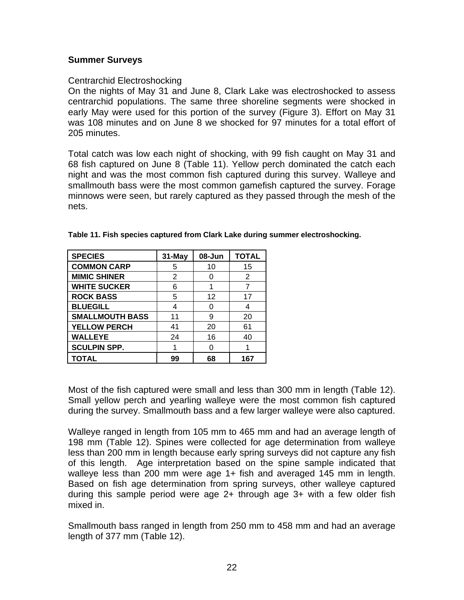#### **Summer Surveys**

#### Centrarchid Electroshocking

On the nights of May 31 and June 8, Clark Lake was electroshocked to assess centrarchid populations. The same three shoreline segments were shocked in early May were used for this portion of the survey (Figure 3). Effort on May 31 was 108 minutes and on June 8 we shocked for 97 minutes for a total effort of 205 minutes.

Total catch was low each night of shocking, with 99 fish caught on May 31 and 68 fish captured on June 8 (Table 11). Yellow perch dominated the catch each night and was the most common fish captured during this survey. Walleye and smallmouth bass were the most common gamefish captured the survey. Forage minnows were seen, but rarely captured as they passed through the mesh of the nets.

| <b>SPECIES</b>         | 31-May | 08-Jun | <b>TOTAL</b> |
|------------------------|--------|--------|--------------|
| <b>COMMON CARP</b>     | 5      | 10     | 15           |
| <b>MIMIC SHINER</b>    | 2      |        | 2            |
| <b>WHITE SUCKER</b>    | 6      |        |              |
| <b>ROCK BASS</b>       | 5      | 12     | 17           |
| <b>BLUEGILL</b>        | 4      |        |              |
| <b>SMALLMOUTH BASS</b> | 11     | 9      | 20           |
| <b>YELLOW PERCH</b>    | 41     | 20     | 61           |
| <b>WALLEYE</b>         | 24     | 16     | 40           |
| <b>SCULPIN SPP.</b>    |        |        |              |
| <b>TOTAL</b>           | 99     | 68     | 167          |

#### **Table 11. Fish species captured from Clark Lake during summer electroshocking.**

Most of the fish captured were small and less than 300 mm in length (Table 12). Small yellow perch and yearling walleye were the most common fish captured during the survey. Smallmouth bass and a few larger walleye were also captured.

Walleye ranged in length from 105 mm to 465 mm and had an average length of 198 mm (Table 12). Spines were collected for age determination from walleye less than 200 mm in length because early spring surveys did not capture any fish of this length. Age interpretation based on the spine sample indicated that walleye less than 200 mm were age 1+ fish and averaged 145 mm in length. Based on fish age determination from spring surveys, other walleye captured during this sample period were age 2+ through age 3+ with a few older fish mixed in.

Smallmouth bass ranged in length from 250 mm to 458 mm and had an average length of 377 mm (Table 12).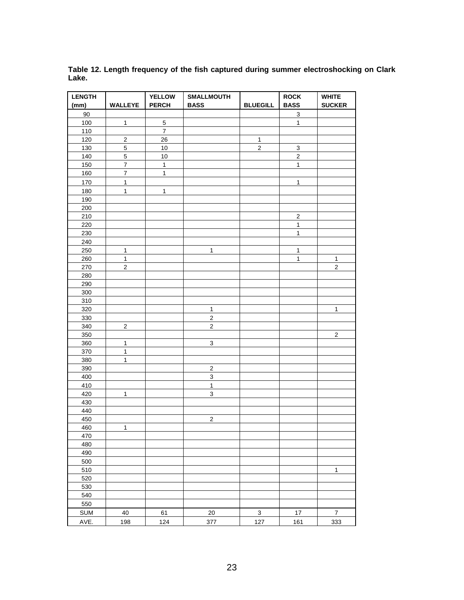| <b>LENGTH</b><br>(mm) | WALLEYE                 | <b>YELLOW</b><br><b>PERCH</b> | <b>SMALLMOUTH</b><br><b>BASS</b> | <b>BLUEGILL</b> | <b>ROCK</b><br><b>BASS</b> | <b>WHITE</b><br><b>SUCKER</b> |
|-----------------------|-------------------------|-------------------------------|----------------------------------|-----------------|----------------------------|-------------------------------|
| 90                    |                         |                               |                                  |                 | $\mathbf{3}$               |                               |
| 100                   | $\mathbf{1}$            | $\sqrt{5}$                    |                                  |                 | $\mathbf{1}$               |                               |
| 110                   |                         | $\overline{7}$                |                                  |                 |                            |                               |
| 120                   | $\overline{2}$          | 26                            |                                  | $\mathbf 1$     |                            |                               |
| 130                   | 5                       | $10$                          |                                  | $\overline{2}$  | 3                          |                               |
| 140                   | $\overline{5}$          | 10                            |                                  |                 | $\overline{2}$             |                               |
| 150                   | $\overline{\mathbf{7}}$ | $\mathbf{1}$                  |                                  |                 | $\mathbf{1}$               |                               |
| 160                   | $\overline{\mathbf{7}}$ | $\mathbf{1}$                  |                                  |                 |                            |                               |
| 170                   | $\mathbf{1}$            |                               |                                  |                 | $\mathbf{1}$               |                               |
| 180                   | $\mathbf{1}$            | $\mathbf{1}$                  |                                  |                 |                            |                               |
| 190                   |                         |                               |                                  |                 |                            |                               |
| 200                   |                         |                               |                                  |                 |                            |                               |
| 210                   |                         |                               |                                  |                 | $\overline{\mathbf{c}}$    |                               |
| 220                   |                         |                               |                                  |                 | $\mathbf{1}$               |                               |
| 230                   |                         |                               |                                  |                 | $\mathbf{1}$               |                               |
| 240                   |                         |                               |                                  |                 |                            |                               |
| 250                   | $\mathbf{1}$            |                               | $\mathbf{1}$                     |                 | $\mathbf{1}$               |                               |
| 260                   | $\mathbf{1}$            |                               |                                  |                 | $\mathbf{1}$               | $\mathbf{1}$                  |
| 270                   | $\mathbf 2$             |                               |                                  |                 |                            | $\overline{c}$                |
| 280                   |                         |                               |                                  |                 |                            |                               |
| 290                   |                         |                               |                                  |                 |                            |                               |
| 300                   |                         |                               |                                  |                 |                            |                               |
| 310                   |                         |                               |                                  |                 |                            |                               |
| 320                   |                         |                               | $\mathbf{1}$                     |                 |                            | $\mathbf{1}$                  |
| 330                   |                         |                               | $\overline{2}$                   |                 |                            |                               |
| 340                   | $\sqrt{2}$              |                               | $\overline{c}$                   |                 |                            |                               |
| 350                   |                         |                               |                                  |                 |                            | $\mathbf{2}$                  |
| 360                   | $\mathbf{1}$            |                               | 3                                |                 |                            |                               |
| 370                   | $\mathbf{1}$            |                               |                                  |                 |                            |                               |
| 380                   | $\mathbf{1}$            |                               |                                  |                 |                            |                               |
| 390                   |                         |                               | $\overline{2}$                   |                 |                            |                               |
| 400                   |                         |                               | $\ensuremath{\mathsf{3}}$        |                 |                            |                               |
| 410                   |                         |                               | $\mathbf{1}$                     |                 |                            |                               |
| 420                   | $\mathbf{1}$            |                               | $\mathbf{3}$                     |                 |                            |                               |
| 430                   |                         |                               |                                  |                 |                            |                               |
| 440                   |                         |                               |                                  |                 |                            |                               |
| 450                   |                         |                               | $\sqrt{2}$                       |                 |                            |                               |
| 460                   | $\mathbf{1}$            |                               |                                  |                 |                            |                               |
| 470                   |                         |                               |                                  |                 |                            |                               |
| 480                   |                         |                               |                                  |                 |                            |                               |
| 490                   |                         |                               |                                  |                 |                            |                               |
| 500                   |                         |                               |                                  |                 |                            |                               |
| 510                   |                         |                               |                                  |                 |                            | $\mathbf{1}$                  |
| 520                   |                         |                               |                                  |                 |                            |                               |
| 530                   |                         |                               |                                  |                 |                            |                               |
| 540                   |                         |                               |                                  |                 |                            |                               |
| 550                   |                         |                               |                                  |                 |                            |                               |
|                       |                         |                               |                                  |                 |                            |                               |
| <b>SUM</b>            | 40                      | 61                            | 20                               | 3               | $17$                       | $\boldsymbol{7}$              |
| AVE.                  | 198                     | 124                           | 377                              | 127             | 161                        | 333                           |

**Table 12. Length frequency of the fish captured during summer electroshocking on Clark Lake.**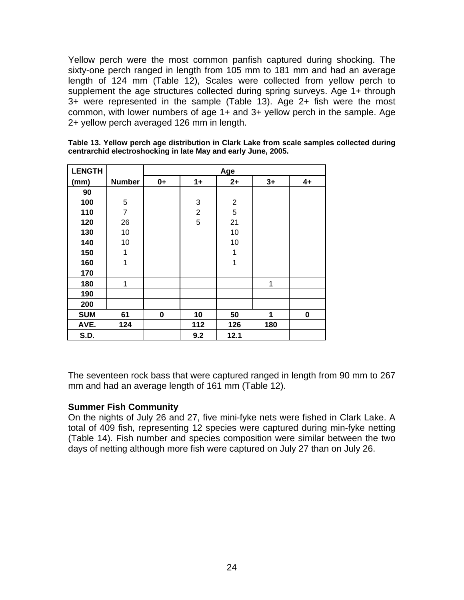Yellow perch were the most common panfish captured during shocking. The sixty-one perch ranged in length from 105 mm to 181 mm and had an average length of 124 mm (Table 12), Scales were collected from yellow perch to supplement the age structures collected during spring surveys. Age 1+ through 3+ were represented in the sample (Table 13). Age 2+ fish were the most common, with lower numbers of age 1+ and 3+ yellow perch in the sample. Age 2+ yellow perch averaged 126 mm in length.

| <b>LENGTH</b> |                | Age  |                |                |      |      |  |
|---------------|----------------|------|----------------|----------------|------|------|--|
| (mm)          | <b>Number</b>  | $0+$ | $1+$           | $2+$           | $3+$ | $4+$ |  |
| 90            |                |      |                |                |      |      |  |
| 100           | 5              |      | 3              | $\overline{2}$ |      |      |  |
| 110           | $\overline{7}$ |      | $\overline{2}$ | 5              |      |      |  |
| 120           | 26             |      | 5              | 21             |      |      |  |
| 130           | 10             |      |                | 10             |      |      |  |
| 140           | 10             |      |                | 10             |      |      |  |
| 150           | 1              |      |                | 1              |      |      |  |
| 160           | 1              |      |                | 1              |      |      |  |
| 170           |                |      |                |                |      |      |  |
| 180           | 1              |      |                |                | 1    |      |  |
| 190           |                |      |                |                |      |      |  |
| 200           |                |      |                |                |      |      |  |
| <b>SUM</b>    | 61             | 0    | 10             | 50             | 1    | 0    |  |
| AVE.          | 124            |      | 112            | 126            | 180  |      |  |
| S.D.          |                |      | 9.2            | 12.1           |      |      |  |

**Table 13. Yellow perch age distribution in Clark Lake from scale samples collected during centrarchid electroshocking in late May and early June, 2005.** 

The seventeen rock bass that were captured ranged in length from 90 mm to 267 mm and had an average length of 161 mm (Table 12).

#### **Summer Fish Community**

On the nights of July 26 and 27, five mini-fyke nets were fished in Clark Lake. A total of 409 fish, representing 12 species were captured during min-fyke netting (Table 14). Fish number and species composition were similar between the two days of netting although more fish were captured on July 27 than on July 26.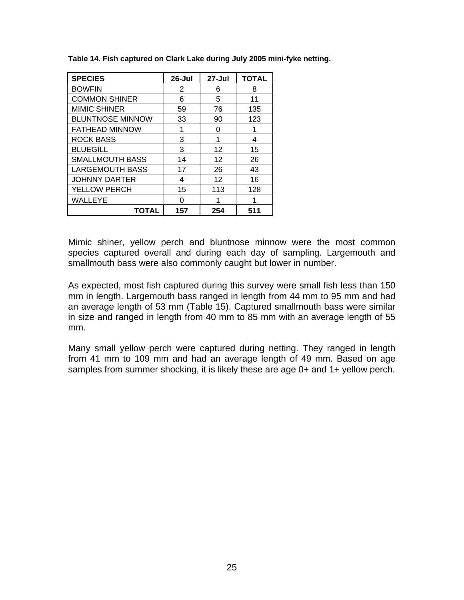| <b>SPECIES</b>          | 26-Jul | 27-Jul            | <b>TOTAL</b> |
|-------------------------|--------|-------------------|--------------|
| <b>BOWFIN</b>           | 2      | 6                 | 8            |
| <b>COMMON SHINER</b>    | 6      | 5                 | 11           |
| <b>MIMIC SHINER</b>     | 59     | 76                | 135          |
| <b>BLUNTNOSE MINNOW</b> | 33     | 90                | 123          |
| <b>FATHEAD MINNOW</b>   |        | 0                 |              |
| <b>ROCK BASS</b>        | 3      | 1                 | 4            |
| <b>BLUEGILL</b>         | 3      | 12                | 15           |
| <b>SMALLMOUTH BASS</b>  | 14     | 12                | 26           |
| <b>LARGEMOUTH BASS</b>  | 17     | 26                | 43           |
| <b>JOHNNY DARTER</b>    | 4      | $12 \overline{ }$ | 16           |
| YELLOW PERCH            | 15     | 113               | 128          |
| WALLEYE                 | O      | 1                 | 1            |
| <b>TOTAL</b>            | 157    | 254               | 511          |

**Table 14. Fish captured on Clark Lake during July 2005 mini-fyke netting.** 

Mimic shiner, yellow perch and bluntnose minnow were the most common species captured overall and during each day of sampling. Largemouth and smallmouth bass were also commonly caught but lower in number.

As expected, most fish captured during this survey were small fish less than 150 mm in length. Largemouth bass ranged in length from 44 mm to 95 mm and had an average length of 53 mm (Table 15). Captured smallmouth bass were similar in size and ranged in length from 40 mm to 85 mm with an average length of 55 mm.

Many small yellow perch were captured during netting. They ranged in length from 41 mm to 109 mm and had an average length of 49 mm. Based on age samples from summer shocking, it is likely these are age 0+ and 1+ yellow perch.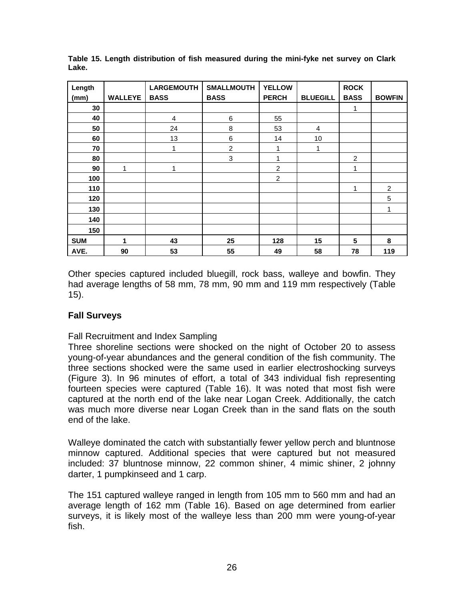| Length     |                | <b>LARGEMOUTH</b> | <b>SMALLMOUTH</b> | <b>YELLOW</b>  |                 | <b>ROCK</b> |                |
|------------|----------------|-------------------|-------------------|----------------|-----------------|-------------|----------------|
| (mm)       | <b>WALLEYE</b> | <b>BASS</b>       | <b>BASS</b>       | <b>PERCH</b>   | <b>BLUEGILL</b> | <b>BASS</b> | <b>BOWFIN</b>  |
| 30         |                |                   |                   |                |                 | 1           |                |
| 40         |                | $\overline{4}$    | $\,6$             | 55             |                 |             |                |
| 50         |                | 24                | 8                 | 53             | 4               |             |                |
| 60         |                | 13                | $\,6$             | 14             | 10              |             |                |
| 70         |                | 1                 | $\overline{c}$    | 1              | 1               |             |                |
| 80         |                |                   | 3                 | 1              |                 | 2           |                |
| 90         | 1              | 1                 |                   | $\overline{c}$ |                 | 1           |                |
| 100        |                |                   |                   | $\overline{c}$ |                 |             |                |
| 110        |                |                   |                   |                |                 | 1           | $\overline{2}$ |
| 120        |                |                   |                   |                |                 |             | 5              |
| 130        |                |                   |                   |                |                 |             | 1              |
| 140        |                |                   |                   |                |                 |             |                |
| 150        |                |                   |                   |                |                 |             |                |
| <b>SUM</b> | 1              | 43                | 25                | 128            | 15              | 5           | 8              |
| AVE.       | 90             | 53                | 55                | 49             | 58              | 78          | 119            |

**Table 15. Length distribution of fish measured during the mini-fyke net survey on Clark Lake.** 

Other species captured included bluegill, rock bass, walleye and bowfin. They had average lengths of 58 mm, 78 mm, 90 mm and 119 mm respectively (Table 15).

### **Fall Surveys**

### Fall Recruitment and Index Sampling

Three shoreline sections were shocked on the night of October 20 to assess young-of-year abundances and the general condition of the fish community. The three sections shocked were the same used in earlier electroshocking surveys (Figure 3). In 96 minutes of effort, a total of 343 individual fish representing fourteen species were captured (Table 16). It was noted that most fish were captured at the north end of the lake near Logan Creek. Additionally, the catch was much more diverse near Logan Creek than in the sand flats on the south end of the lake.

Walleye dominated the catch with substantially fewer yellow perch and bluntnose minnow captured. Additional species that were captured but not measured included: 37 bluntnose minnow, 22 common shiner, 4 mimic shiner, 2 johnny darter, 1 pumpkinseed and 1 carp.

The 151 captured walleye ranged in length from 105 mm to 560 mm and had an average length of 162 mm (Table 16). Based on age determined from earlier surveys, it is likely most of the walleye less than 200 mm were young-of-year fish.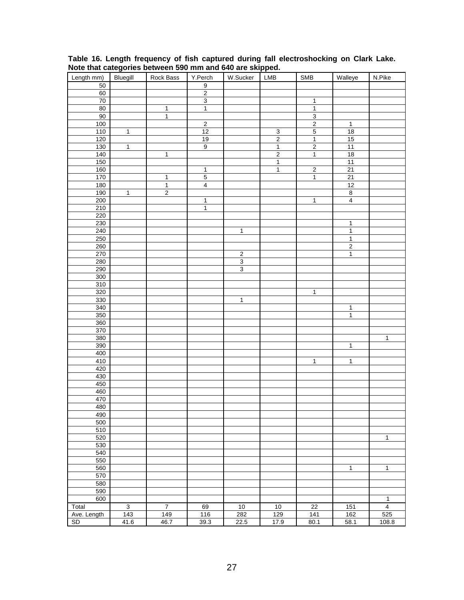| Length mm)  | Bluegill       | Rock Bass      | Y.Perch          | W.Sucker            | LMB            | SMB            | Walleye                 | N.Pike         |
|-------------|----------------|----------------|------------------|---------------------|----------------|----------------|-------------------------|----------------|
| 50          |                |                | $\boldsymbol{9}$ |                     |                |                |                         |                |
| 60          |                |                | $\overline{2}$   |                     |                |                |                         |                |
| $70\,$      |                |                | $\overline{3}$   |                     |                | $\mathbf{1}$   |                         |                |
| 80          |                | $\mathbf{1}$   | $\mathbf{1}$     |                     |                | $\mathbf 1$    |                         |                |
| 90          |                | $\mathbf{1}$   |                  |                     |                | $\overline{3}$ |                         |                |
| 100         |                |                | $\overline{2}$   |                     |                | $\overline{2}$ | $\mathbf{1}$            |                |
| $110$       | $\mathbf{1}$   |                | 12               |                     | $\overline{3}$ | $\overline{5}$ | <u>18</u>               |                |
| 120         |                |                | 19               |                     | $\overline{2}$ | $\overline{1}$ | 15                      |                |
| 130         | $\overline{1}$ |                | $\overline{9}$   |                     | $\mathbf 1$    | $\overline{2}$ | 11                      |                |
| 140         |                | $\overline{1}$ |                  |                     | $\overline{2}$ | $\mathbf{1}$   | 18                      |                |
| 150         |                |                |                  |                     | $\overline{1}$ |                | 11                      |                |
| 160         |                |                | $\overline{1}$   |                     | $\overline{1}$ | $\overline{2}$ | 21                      |                |
| 170         |                | $\mathbf 1$    | $\mathbf 5$      |                     |                | $\mathbf{1}$   | 21                      |                |
| 180         |                | $\overline{1}$ | $\overline{4}$   |                     |                |                | 12                      |                |
| 190         | $\overline{1}$ | $\overline{2}$ |                  |                     |                |                | $\overline{\mathbf{8}}$ |                |
| 200         |                |                | $\mathbf{1}$     |                     |                | $\mathbf{1}$   | $\overline{\mathbf{4}}$ |                |
| 210         |                |                | $\mathbf{1}$     |                     |                |                |                         |                |
| 220         |                |                |                  |                     |                |                |                         |                |
| 230         |                |                |                  |                     |                |                | $\mathbf{1}$            |                |
| 240         |                |                |                  | $\mathbf{1}$        |                |                | $\mathbf{1}$            |                |
| 250         |                |                |                  |                     |                |                | $\overline{1}$          |                |
| 260         |                |                |                  |                     |                |                | $\overline{2}$          |                |
| 270         |                |                |                  | $\sqrt{2}$          |                |                | 1                       |                |
| 280         |                |                |                  | $\overline{\omega}$ |                |                |                         |                |
| 290         |                |                |                  | $\overline{3}$      |                |                |                         |                |
| 300         |                |                |                  |                     |                |                |                         |                |
| 310         |                |                |                  |                     |                |                |                         |                |
| 320         |                |                |                  |                     |                | $\mathbf{1}$   |                         |                |
| 330         |                |                |                  | $\overline{1}$      |                |                |                         |                |
| 340         |                |                |                  |                     |                |                | 1                       |                |
| 350         |                |                |                  |                     |                |                | $\mathbf{1}$            |                |
| 360         |                |                |                  |                     |                |                |                         |                |
| 370         |                |                |                  |                     |                |                |                         |                |
| 380         |                |                |                  |                     |                |                |                         | $\mathbf{1}$   |
| 390         |                |                |                  |                     |                |                | $\mathbf{1}$            |                |
| 400         |                |                |                  |                     |                |                |                         |                |
| 410         |                |                |                  |                     |                | $\mathbf{1}$   | $\mathbf{1}$            |                |
| 420         |                |                |                  |                     |                |                |                         |                |
| 430         |                |                |                  |                     |                |                |                         |                |
| 450         |                |                |                  |                     |                |                |                         |                |
| 460         |                |                |                  |                     |                |                |                         |                |
| 470         |                |                |                  |                     |                |                |                         |                |
| 480         |                |                |                  |                     |                |                |                         |                |
| 490         |                |                |                  |                     |                |                |                         |                |
| 500         |                |                |                  |                     |                |                |                         |                |
| 510         |                |                |                  |                     |                |                |                         |                |
| 520         |                |                |                  |                     |                |                |                         | 1              |
| 530         |                |                |                  |                     |                |                |                         |                |
| 540         |                |                |                  |                     |                |                |                         |                |
| 550         |                |                |                  |                     |                |                |                         |                |
| 560         |                |                |                  |                     |                |                | 1                       | 1              |
| 570         |                |                |                  |                     |                |                |                         |                |
| 580         |                |                |                  |                     |                |                |                         |                |
| 590         |                |                |                  |                     |                |                |                         |                |
| 600         |                |                |                  |                     |                |                |                         | $\mathbf{1}$   |
| Total       | $\overline{3}$ | $\overline{7}$ | 69               | $10$                | $10$           | 22             | 151                     | $\overline{4}$ |
| Ave. Length | 143            | 149            | 116              | 282                 | 129            | 141            | 162                     | 525            |
| SD          | 41.6           | 46.7           | 39.3             | 22.5                | 17.9           | 80.1           | 58.1                    | 108.8          |

**Table 16. Length frequency of fish captured during fall electroshocking on Clark Lake. Note that categories between 590 mm and 640 are skipped.**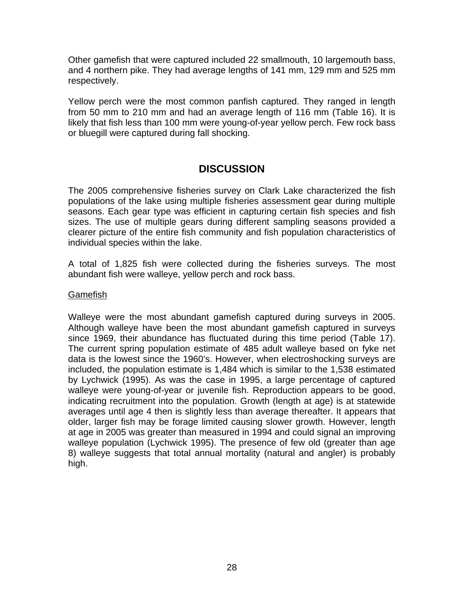Other gamefish that were captured included 22 smallmouth, 10 largemouth bass, and 4 northern pike. They had average lengths of 141 mm, 129 mm and 525 mm respectively.

Yellow perch were the most common panfish captured. They ranged in length from 50 mm to 210 mm and had an average length of 116 mm (Table 16). It is likely that fish less than 100 mm were young-of-year yellow perch. Few rock bass or bluegill were captured during fall shocking.

## **DISCUSSION**

The 2005 comprehensive fisheries survey on Clark Lake characterized the fish populations of the lake using multiple fisheries assessment gear during multiple seasons. Each gear type was efficient in capturing certain fish species and fish sizes. The use of multiple gears during different sampling seasons provided a clearer picture of the entire fish community and fish population characteristics of individual species within the lake.

A total of 1,825 fish were collected during the fisheries surveys. The most abundant fish were walleye, yellow perch and rock bass.

#### Gamefish

Walleye were the most abundant gamefish captured during surveys in 2005. Although walleye have been the most abundant gamefish captured in surveys since 1969, their abundance has fluctuated during this time period (Table 17). The current spring population estimate of 485 adult walleye based on fyke net data is the lowest since the 1960's. However, when electroshocking surveys are included, the population estimate is 1,484 which is similar to the 1,538 estimated by Lychwick (1995). As was the case in 1995, a large percentage of captured walleye were young-of-year or juvenile fish. Reproduction appears to be good, indicating recruitment into the population. Growth (length at age) is at statewide averages until age 4 then is slightly less than average thereafter. It appears that older, larger fish may be forage limited causing slower growth. However, length at age in 2005 was greater than measured in 1994 and could signal an improving walleye population (Lychwick 1995). The presence of few old (greater than age 8) walleye suggests that total annual mortality (natural and angler) is probably high.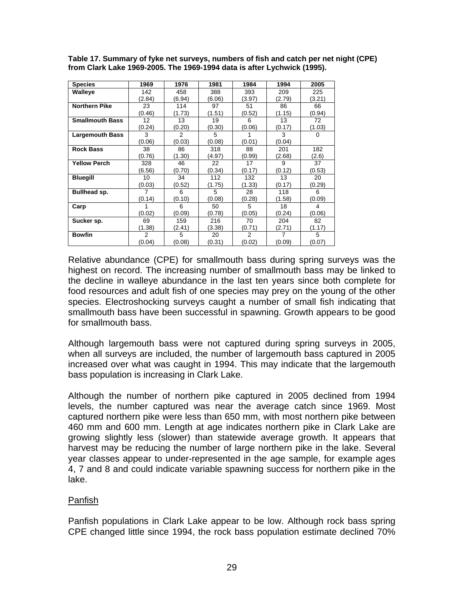| <b>Species</b>         | 1969           | 1976           | 1981   | 1984   | 1994   | 2005   |
|------------------------|----------------|----------------|--------|--------|--------|--------|
| Walleye                | 142            | 458            | 388    | 393    | 209    | 225    |
|                        | (2.84)         | (6.94)         | (6.06) | (3.97) | (2.79) | (3.21) |
| <b>Northern Pike</b>   | 23             | 114            | 97     | 51     | 86     | 66     |
|                        | (0.46)         | (1.73)         | (1.51) | (0.52) | (1.15) | (0.94) |
| <b>Smallmouth Bass</b> | 12             | 13             | 19     | 6      | 13     | 72     |
|                        | (0.24)         | (0.20)         | (0.30) | (0.06) | (0.17) | (1.03) |
| <b>Largemouth Bass</b> | 3              | $\mathfrak{p}$ | 5      |        | 3      | 0      |
|                        | (0.06)         | (0.03)         | (0.08) | (0.01) | (0.04) |        |
| <b>Rock Bass</b>       | 38             | 86             | 318    | 88     | 201    | 182    |
|                        | (0.76)         | (1.30)         | (4.97) | (0.99) | (2.68) | (2.6)  |
| <b>Yellow Perch</b>    | 328            | 46             | 22     | 17     | 9      | 37     |
|                        | (6.56)         | (0.70)         | (0.34) | (0.17) | (0.12) | (0.53) |
| <b>Bluegill</b>        | 10             | 34             | 112    | 132    | 13     | 20     |
|                        | (0.03)         | (0.52)         | (1.75) | (1.33) | (0.17) | (0.29) |
| Bullhead sp.           | 7              | 6              | 5      | 28     | 118    | 6      |
|                        | (0.14)         | (0.10)         | (0.08) | (0.28) | (1.58) | (0.09) |
| Carp                   |                | 6              | 50     | 5      | 18     | 4      |
|                        | (0.02)         | (0.09)         | (0.78) | (0.05) | (0.24) | (0.06) |
| Sucker sp.             | 69             | 159            | 216    | 70     | 204    | 82     |
|                        | (1.38)         | (2.41)         | (3.38) | (0.71) | (2.71) | (1.17) |
| <b>Bowfin</b>          | $\overline{2}$ | 5              | 20     | 2      | 7      | 5      |
|                        | (0.04)         | (0.08)         | (0.31) | (0.02) | (0.09) | (0.07) |

**Table 17. Summary of fyke net surveys, numbers of fish and catch per net night (CPE) from Clark Lake 1969-2005. The 1969-1994 data is after Lychwick (1995).** 

Relative abundance (CPE) for smallmouth bass during spring surveys was the highest on record. The increasing number of smallmouth bass may be linked to the decline in walleye abundance in the last ten years since both complete for food resources and adult fish of one species may prey on the young of the other species. Electroshocking surveys caught a number of small fish indicating that smallmouth bass have been successful in spawning. Growth appears to be good for smallmouth bass.

Although largemouth bass were not captured during spring surveys in 2005, when all surveys are included, the number of largemouth bass captured in 2005 increased over what was caught in 1994. This may indicate that the largemouth bass population is increasing in Clark Lake.

Although the number of northern pike captured in 2005 declined from 1994 levels, the number captured was near the average catch since 1969. Most captured northern pike were less than 650 mm, with most northern pike between 460 mm and 600 mm. Length at age indicates northern pike in Clark Lake are growing slightly less (slower) than statewide average growth. It appears that harvest may be reducing the number of large northern pike in the lake. Several year classes appear to under-represented in the age sample, for example ages 4, 7 and 8 and could indicate variable spawning success for northern pike in the lake.

### Panfish

Panfish populations in Clark Lake appear to be low. Although rock bass spring CPE changed little since 1994, the rock bass population estimate declined 70%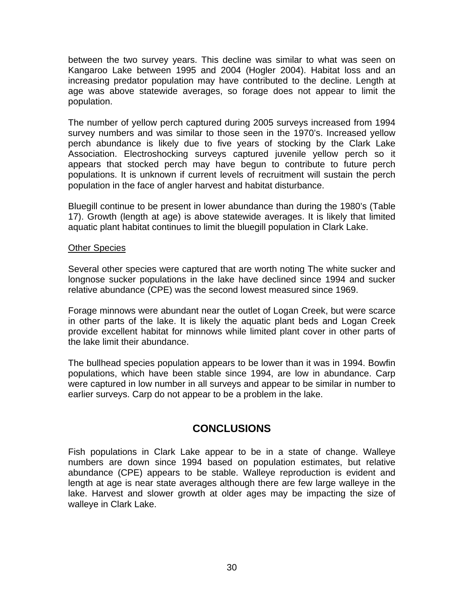between the two survey years. This decline was similar to what was seen on Kangaroo Lake between 1995 and 2004 (Hogler 2004). Habitat loss and an increasing predator population may have contributed to the decline. Length at age was above statewide averages, so forage does not appear to limit the population.

The number of yellow perch captured during 2005 surveys increased from 1994 survey numbers and was similar to those seen in the 1970's. Increased yellow perch abundance is likely due to five years of stocking by the Clark Lake Association. Electroshocking surveys captured juvenile yellow perch so it appears that stocked perch may have begun to contribute to future perch populations. It is unknown if current levels of recruitment will sustain the perch population in the face of angler harvest and habitat disturbance.

Bluegill continue to be present in lower abundance than during the 1980's (Table 17). Growth (length at age) is above statewide averages. It is likely that limited aquatic plant habitat continues to limit the bluegill population in Clark Lake.

### Other Species

Several other species were captured that are worth noting The white sucker and longnose sucker populations in the lake have declined since 1994 and sucker relative abundance (CPE) was the second lowest measured since 1969.

Forage minnows were abundant near the outlet of Logan Creek, but were scarce in other parts of the lake. It is likely the aquatic plant beds and Logan Creek provide excellent habitat for minnows while limited plant cover in other parts of the lake limit their abundance.

The bullhead species population appears to be lower than it was in 1994. Bowfin populations, which have been stable since 1994, are low in abundance. Carp were captured in low number in all surveys and appear to be similar in number to earlier surveys. Carp do not appear to be a problem in the lake.

# **CONCLUSIONS**

Fish populations in Clark Lake appear to be in a state of change. Walleye numbers are down since 1994 based on population estimates, but relative abundance (CPE) appears to be stable. Walleye reproduction is evident and length at age is near state averages although there are few large walleye in the lake. Harvest and slower growth at older ages may be impacting the size of walleye in Clark Lake.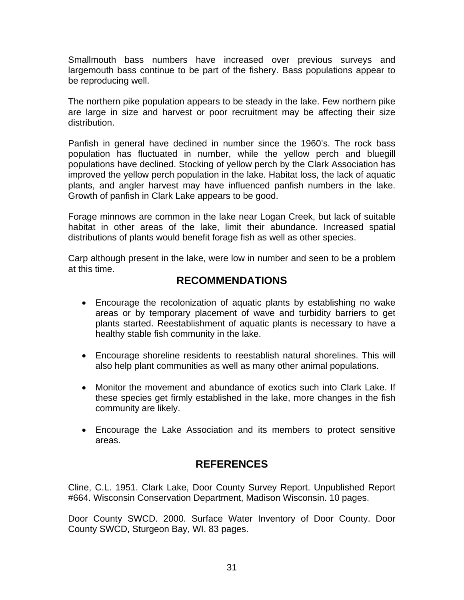Smallmouth bass numbers have increased over previous surveys and largemouth bass continue to be part of the fishery. Bass populations appear to be reproducing well.

The northern pike population appears to be steady in the lake. Few northern pike are large in size and harvest or poor recruitment may be affecting their size distribution.

Panfish in general have declined in number since the 1960's. The rock bass population has fluctuated in number, while the yellow perch and bluegill populations have declined. Stocking of yellow perch by the Clark Association has improved the yellow perch population in the lake. Habitat loss, the lack of aquatic plants, and angler harvest may have influenced panfish numbers in the lake. Growth of panfish in Clark Lake appears to be good.

Forage minnows are common in the lake near Logan Creek, but lack of suitable habitat in other areas of the lake, limit their abundance. Increased spatial distributions of plants would benefit forage fish as well as other species.

Carp although present in the lake, were low in number and seen to be a problem at this time.

# **RECOMMENDATIONS**

- Encourage the recolonization of aquatic plants by establishing no wake areas or by temporary placement of wave and turbidity barriers to get plants started. Reestablishment of aquatic plants is necessary to have a healthy stable fish community in the lake.
- Encourage shoreline residents to reestablish natural shorelines. This will also help plant communities as well as many other animal populations.
- Monitor the movement and abundance of exotics such into Clark Lake. If these species get firmly established in the lake, more changes in the fish community are likely.
- Encourage the Lake Association and its members to protect sensitive areas.

# **REFERENCES**

Cline, C.L. 1951. Clark Lake, Door County Survey Report. Unpublished Report #664. Wisconsin Conservation Department, Madison Wisconsin. 10 pages.

Door County SWCD. 2000. Surface Water Inventory of Door County. Door County SWCD, Sturgeon Bay, WI. 83 pages.